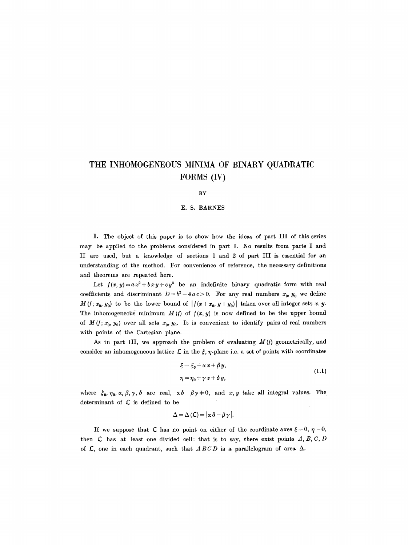# **THE INHOMOGENEOUS MINIMA OF BINARY QUADRATIC FORMS (IV)**

#### BY

## **E. S. BARNES**

1. The object of this paper is to show how the ideas of part III of this series may be applied to the problems considered in part I. No results from parts I and II are used, but a knowledge of sections 1 and 2 of part III is essential for an understanding of the method. For convenience of reference, the necessary definitions and theorems are repeated here.

Let  $f(x, y) = a x^2 + b x y + c y^2$  be an indefinite binary quadratic form with real coefficients and discriminant  $D = b^2 - 4ac > 0$ . For any real numbers  $x_0, y_0$  we define  $M(t; x_0, y_0)$  to be the lower bound of  $|f(x + x_0, y + y_0)|$  taken over all integer sets x, y. The inhomogeneous minimum  $M(f)$  of  $f(x, y)$  is now defined to be the upper bound of  $M(t; x_0, y_0)$  over all sets  $x_0, y_0$ . It is convenient to identify pairs of real numbers with points of the Cartesian plane.

As in part III, we approach the problem of evaluating  $M(f)$  geometrically, and consider an inhomogeneous lattice  $\mathcal L$  in the  $\xi$ ,  $\eta$ -plane i.e. a set of points with coordinates

$$
\begin{aligned} \xi &= \xi_0 + \alpha \, x + \beta \, y, \\ \eta &= \eta_0 + \gamma \, x + \delta \, y, \end{aligned} \tag{1.1}
$$

where  $\xi_0, \eta_0, \alpha, \beta, \gamma, \delta$  are real,  $\alpha \delta - \beta \gamma \neq 0$ , and x, y take all integral values. The determinant of  $\mathcal L$  is defined to be

$$
\Delta = \Delta (\mathcal{L}) = |\alpha \delta - \beta \gamma|.
$$

If we suppose that  $\mathcal L$  has no point on either of the coordinate axes  $\xi = 0, \eta = 0$ , then  $\mathcal L$  has at least one divided cell: that is to say, there exist points  $A, B, C, D$ of  $\mathcal{L}$ , one in each quadrant, such that *ABCD* is a parallelogram of area  $\Delta$ .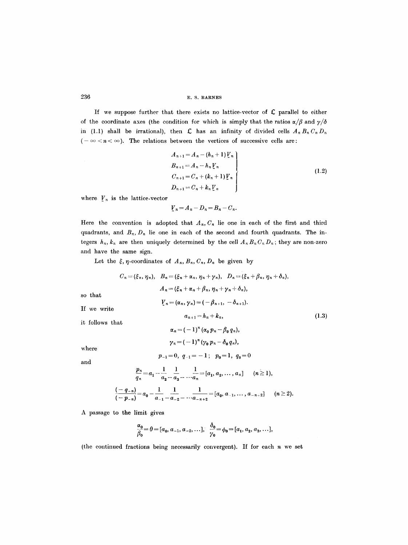If we suppose further that there exists no lattice-vector of  $C$  parallel to either of the coordinate axes (the condition for which is simply that the ratios  $\alpha/\beta$  and  $\gamma/\delta$ in (1.1) shall be irrational), then  $\mathcal L$  has an infinity of divided cells  $A_n B_n C_n D_n$  $(-\infty < n < \infty)$ . The relations between the vertices of successive cells are:

$$
A_{n+1} = A_n - (h_n + 1) V_n
$$
  
\n
$$
B_{n+1} = A_n - h_n V_n
$$
  
\n
$$
C_{n+1} = C_n + (k_n + 1) V_n
$$
  
\n
$$
D_{n+1} = C_n + k_n V_n
$$
\n(1.2)

 $a_{n+1} = h_n + k_n,$  (1.3)

where  $V_n$  is the lattice-vector

$$
V_n = A_n - D_n = B_n - C_n.
$$

Here the convention is adopted that  $A_n$ ,  $C_n$  lie one in each of the first and third quadrants, and  $B_n$ ,  $D_n$  lie one in each of the second and fourth quadrants. The integers  $h_n$ ,  $k_n$  are then uniquely determined by the cell  $A_n B_n C_n D_n$ ; they are non-zero and have the same sign.

Let the  $\xi$ ,  $\eta$ -coordinates of  $A_n$ ,  $B_n$ ,  $C_n$ ,  $D_n$  be given by

$$
C_n = (\xi_n, \eta_n), \quad B_n = (\xi_n + \alpha_n, \eta_n + \gamma_n), \quad D_n = (\xi_n + \beta_n, \eta_n + \delta_n),
$$

$$
A_n = (\xi_n + \alpha_n + \beta_n, \eta_n + \gamma_n + \delta_n),
$$

$$
V_n = (\alpha_n, \gamma_n) = (-\beta_{n+1}, -\delta_{n+1}).
$$

If we write

so that

it follows that

 $\alpha_n = (-1)^n (\alpha_0 p_n - \beta_0 q_n),$  $\gamma_n = (-1)^n (\gamma_0 p_n - \delta_0 q_n),$ 

where

$$
p_{-1}=0, q_{-1}=-1; p_0=1, q_0=0
$$

and

$$
\frac{p_n}{q_n} = a_1 - \frac{1}{a_2} - \frac{1}{a_3} - \dots - \frac{1}{a_n} = [a_1, a_2, \dots, a_n] \quad (n \ge 1),
$$
\n
$$
\frac{(-q_{-n})}{(-p_{-n})} = a_0 - \frac{1}{a_{-1}} - \frac{1}{a_{-2}} - \dots - \frac{1}{a_{-n+2}} = [a_0, a_{-1}, \dots, a_{-n+2}] \quad (n \ge 2).
$$

A passage to the limit gives

$$
\frac{\alpha_0}{\beta_0} = \theta = [a_0, a_{-1}, a_{-2}, \ldots], \quad \frac{\delta_0}{\gamma_0} = \phi_0 = [a_1, a_2, a_3, \ldots],
$$

(the continued fractions being necessarily convergent). If for each  $n$  we set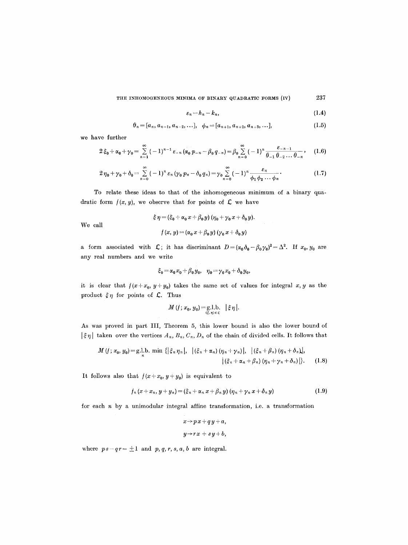THE INHOMOGENEOUS MINIMA OF BINARY QUADRATIC FORMS  $(iv)$  237

$$
\varepsilon_n = h_n - k_n, \tag{1.4}
$$

$$
\theta_n = [a_n, a_{n-1}, a_{n-2}, \dots], \quad \phi_n = [a_{n+1}, a_{n+2}, a_{n+3}, \dots], \tag{1.5}
$$

we have further

We call

$$
2\xi_0 + \alpha_0 + \gamma_0 = \sum_{n=1}^{\infty} (-1)^{n-1} \varepsilon_{-n} (\alpha_0 p_{-n} - \beta_0 q_{-n}) = \beta_0 \sum_{n=0}^{\infty} (-1)^n \frac{\varepsilon_{-n-1}}{\theta_{-1} \theta_{-2} \cdots \theta_{-n}}, \quad (1.6)
$$

$$
2\eta_0+\gamma_0+\delta_0=\sum_{n=0}^{\infty}(-1)^n\,\varepsilon_n\,(\gamma_0\,p_n-\delta_0\,q_n)=\gamma_0\sum_{n=0}^{\infty}(-1)^n\,\frac{\varepsilon_n}{\phi_1\,\phi_2\ldots\,\phi_n}.\qquad\qquad(1.7)
$$

To relate these ideas to that of the inhomogeneous minimum of a binary quadratic form  $f(x, y)$ , we observe that for points of  $\mathcal L$  we have

$$
\xi \eta = (\xi_0 + \alpha_0 x + \beta_0 y) (\eta_0 + \gamma_0 x + \delta_0 y).
$$
  

$$
f(x, y) = (\alpha_0 x + \beta_0 y) (\gamma_0 x + \delta_0 y)
$$

a form associated with  $\mathcal{L}$ ; it has discriminant  $D=(\alpha_0\delta_0-\beta_0\gamma_0)^2=\Delta^2$ . If  $x_0, y_0$  are any real numbers and we write

$$
\xi_0\!=\!\alpha_0\,x_0\!+\!\beta_0\,y_0,\ \ \, \eta_0\!=\!\gamma_0\,x_0\!+\!\delta_0\,y_0,
$$

it is clear that  $f(x+x_0, y+y_0)$  takes the same set of values for integral x, y as the product  $\xi \eta$  for points of  $\mathcal{L}$ . Thus

$$
M(f; x_0, y_0) = \underset{(\xi, \eta) \in \mathcal{L}}{\text{g.l.b.}} |\xi \eta|.
$$

As was proved in part III, Theorem 5, this lower bound is also the lower bound of  $|\xi\eta|$  taken over the vertices  $A_n$ ,  $B_n$ ,  $C_n$ ,  $D_n$  of the chain of divided cells. It follows that

$$
M(f; x_0, y_0) = g.l. b. \min \{ \left| \xi_n \eta_n \right|, \left| \left( \xi_n + \alpha_n \right) \left( \eta_n + \gamma_n \right) \right|, \left| \left( \xi_n + \beta_n \right) \left( \eta_n + \delta_n \right) \right|, \\ \left| \left( \xi_n + \alpha_n + \beta_n \right) \left( \eta_n + \gamma_n + \delta_n \right) \right| \}.
$$
 (1.8)

It follows also that  $f(x+x_0, y+y_0)$  is equivalent to

$$
f_n(x+x_n, y+y_n)=(\xi_n+\alpha_n x+\beta_n y)(\eta_n+\gamma_n x+\delta_n y) \qquad (1.9)
$$

for each  $n$  by a unimodular integral affine transformation, i.e. a transformation

$$
x \rightarrow px + qy + a,
$$
  

$$
y \rightarrow rx + sy + b,
$$

where  $ps-qr = \pm 1$  and  $p, q, r, s, a, b$  are integral.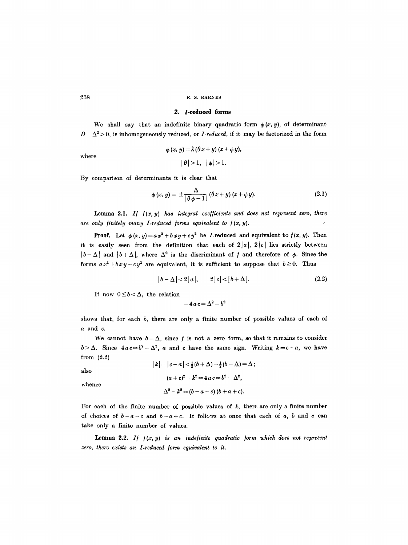#### **2. /-reduced forms**

We shall say that an indefinite binary quadratic form  $\phi(x, y)$ , of determinant  $D = \Delta^2 > 0$ , is inhomogeneously reduced, or *I-reduced*, if it may be factorized in the form

$$
\phi(x, y) = \lambda (\theta x + y) (x + \phi y),
$$

$$
|\theta| > 1, |\phi| > 1.
$$

By comparison of determinants it is clear that

$$
\phi(x, y) = \pm \frac{\Delta}{\left|\theta \phi - 1\right|} (\theta x + y) (x + \phi y). \tag{2.1}
$$

Lemma 2.1.  $If$   $f(x, y)$  has integral coefficients and does not represent zero, there are only finitely many I-reduced forms equivalent to  $f(x, y)$ .

**Proof.** Let  $\phi(x, y) = ax^2 + bxy + cy^2$  be *I*-reduced and equivalent to  $f(x, y)$ . Then it is easily seen from the definition that each of  $2|a|, 2|c|$  lies strictly between  $|b-\Delta|$  and  $|b+\Delta|$ , where  $\Delta^2$  is the discriminant of f and therefore of  $\phi$ . Since the forms  $ax^2 \pm bxy + cy^2$  are equivalent, it is sufficient to suppose that  $b \ge 0$ . Thus

$$
|b-\Delta|<2|a|, \qquad 2|c|<|b+\Delta|.\tag{2.2}
$$

If now  $0 \leq b < \Delta$ , the relation

 $-4ac = \Delta^2 - b^2$ 

shows that, for each *b,* there are only a finite number of possible values of each of a and c.

We cannot have  $b = \Delta$ , since f is not a zero form, so that it remains to consider  $b > \Delta$ . Since  $4ac = b^2 - \Delta^2$ , a and c have the same sign. Writing  $k = c - a$ , we have from (2.2)

also  $|k|=|c-a|<\frac{1}{2}(b+\Delta)-\frac{1}{2}(b-\Delta)=\Delta;$  $(a + c)^2 - k^2 = 4 a c = b^2 - \Delta^2$ ,

whence

 $\Delta^2 - k^2 = (b - a - c) (b + a + c).$ 

For each of the finite number of possible values of  $k$ , there are only a finite number of choices of  $b-a-c$  and  $b+a+c$ . It follows at once that each of a, b and c can take only a finite number of values.

Lemma 2.2. If  $f(x, y)$  is an indefinite quadratic form which does not represent zero, there exists an I-reduced form equivalent to it.

where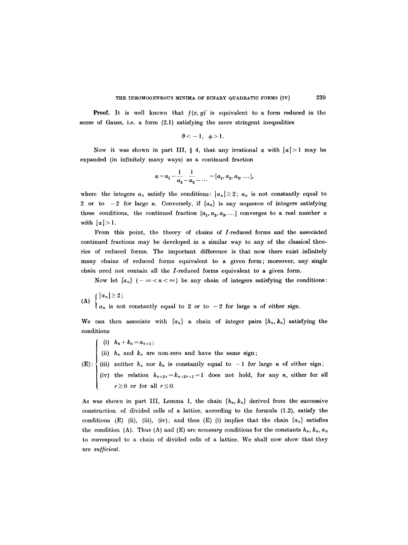**Proof.** It is well known that  $f(x, y)$  is equivalent to a form reduced in the sense of Gauss, i.e. a form (2.1) satisfying the more stringent inequalities

$$
\theta<-1, \ \ \phi>1.
$$

Now it was shown in part III, § 4, that any irrational  $\alpha$  with  $|\alpha|>1$  may be expanded (in infinitely many ways) as a continued fraction

$$
\alpha = a_1 - \frac{1}{a_2 - a_3} - \dots = [a_1, a_2, a_3, \dots],
$$

where the integers  $a_n$  satisfy the conditions:  $|a_n| \geq 2$ ;  $a_n$  is not constantly equal to 2 or to  $-2$  for large n. Conversely, if  $\{a_n\}$  is any sequence of integers satisfying these conditions, the continued fraction  $[a_1, a_2, a_3, \ldots]$  converges to a real number  $\alpha$ . with  $|\alpha| > 1$ .

From this point, the theory of chains of /-reduced forms and the associated continued fractions may be developed in a similar way to any of the classical theories of reduced forms. The important difference is that now there exist infinitely many chains of reduced forms equivalent to a given form; moreover, any single chain need not contain all the *I*-reduced forms equivalent to a given form.

Now let  ${a_n}$  ( $-\infty < n < \infty$ ) be any chain of integers satisfying the conditions:

 $|a_n|\geq 2;$ 

 $\left\{a_n\right\}$  is not constantly equal to 2 or to  $-2$  for large n of either sign.

We can then associate with  $\{a_n\}$  a chain of integer pairs  $\{h_n, k_n\}$  satisfying the conditions

- (i)  $h_n + k_n = a_{n+1}$ ;
- (ii)  $h_n$  and  $k_n$  are non-zero and have the same sign;
- (E): (iii) neither  $h_n$  nor  $k_n$  is constantly equal to  $-1$  for large n of either sign;
	- (iv) the relation  $h_{n+2r}=k_{n+2r+1}=1$  does not hold, for any n, either for all  $r\geq0$  or for all  $r\leq0$ .

As was shown in part III, Lemma 1, the chain  $\{h_n, k_n\}$  derived from the successive construction of divided cells of a lattice, according to the formula (1.2), satisfy the conditions (E) (ii), (iii), (iv); and then (E) (i) implies that the chain  $\{a_n\}$  satisfies the condition (A). Thus (A) and (E) are *necessary* conditions for the constants  $h_n$ ,  $k_n$ ,  $a_n$ to correspond to a chain of divided cells of a lattice. We shall now show that they are *su//icient.*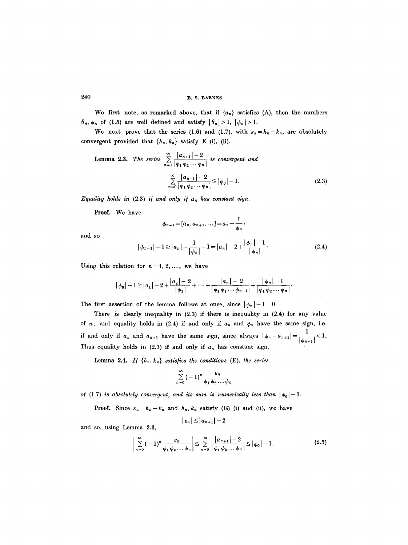We first note, as remarked above, that if  $\{a_n\}$  satisfies (A), then the numbers  $\theta_n$ ,  $\phi_n$  of (1.5) are well defined and satisfy  $|\theta_n| > 1$ ,  $|\phi_n| > 1$ .

We next prove that the series (1.6) and (1.7), with  $\varepsilon_n=h_n-k_n$ , are absolutely convergent provided that  $\{h_n, k_n\}$  satisfy E (i), (ii).

**Lemma 2.3.** The series 
$$
\sum_{n=1}^{\infty} \frac{|a_{n+1}| - 2}{|\phi_1 \phi_2 ... \phi_n|}
$$
 is convergent and  

$$
\sum_{n=0}^{\infty} \frac{|a_{n+1}| - 2}{|\phi_1 \phi_2 ... \phi_n|} \le |\phi_0| - 1.
$$
 (2.3)

*Equality holds in*  $(2.3)$  *if and only if a<sub>n</sub> has constant sign.* 

**Proof.** We have

and so, using Lemma 2.3,

$$
\phi_{n-1}=[a_n,a_{n+1},\ldots]=a_n-\frac{1}{\phi_n},
$$

and so

$$
|\phi_{n-1}| - 1 \ge |a_n| - \frac{1}{|\phi_n|} - 1 = |a_n| - 2 + \frac{|\phi_n| - 1}{|\phi_n|}.
$$
 (2.4)

Using this relation for  $n = 1, 2, \ldots$ , we have

$$
|\phi_0|-1 \ge |a_1|-2+\frac{|a_2|-2}{|\phi_1|}+\cdots+\frac{|a_n|-2}{|\phi_1\phi_2\cdots\phi_{n-1}|}+\frac{|\phi_n|-1}{|\phi_1\phi_2\cdots\phi_n|}.
$$

The first assertion of the lemma follows at once, since  $|\phi_n|-1=0$ .

There is clearly inequality in (2.3) if there is inequality in (2.4) for any value of *n*; and equality holds in (2.4) if and only if  $a_n$  and  $\phi_n$  have the same sign, i.e. if and only if  $a_n$  and  $a_{n+1}$  have the same sign, since always  $|\phi_n - a_{n+1}| = \frac{1}{1} < 1$ . Thus equality holds in  $(2.3)$  if and only if  $a_n$  has constant sign.

**Lemma 2.4.** *If*  $\{h_n, k_n\}$  satisfies the conditions (E), the series

$$
\sum_{n=0}^{\infty} (-1)^n \frac{\varepsilon_n}{\phi_1 \phi_2 \cdots \phi_n}
$$

of (1.7) *is absolutely convergent, and its sum is numerically less than*  $|\phi_0|-1$ .

**Proof.** Since  $\varepsilon_n = h_n - k_n$  and  $h_n$ ,  $k_n$  satisfy (E) (i) and (ii), we have

$$
|\varepsilon_n| \!\leq\! |a_{n+1}|-2
$$

$$
\left|\sum_{n=0}^{\infty}(-1)^n\frac{\varepsilon_n}{\phi_1\phi_2\cdots\phi_n}\right|\leq \sum_{n=0}^{\infty}\frac{|a_{n+1}|-2}{|\phi_1\phi_2\cdots\phi_n|}\leq |\phi_0|-1.
$$
 (2.5)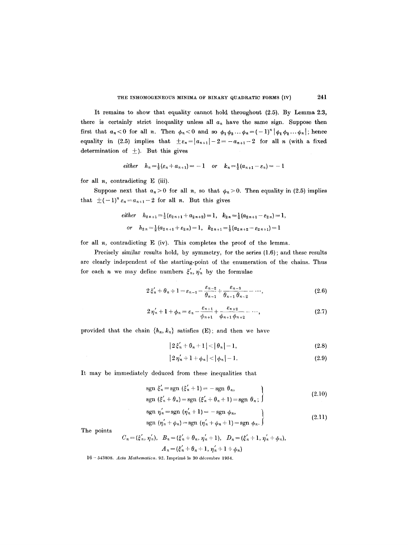It remains to show that equality cannot hold throughout (2.5). By Lemma 2:3, there is certainly strict inequality unless all  $a_n$  have the same sign. Suppose then first that  $a_n < 0$  for all n. Then  $\phi_n < 0$  and so  $\phi_1 \phi_2 \dots \phi_n = (-1)^n |\phi_1 \phi_2 \dots \phi_n|$ ; hence equality in (2.5) implies that  $\pm \varepsilon_n = |a_{n+1}| - 2 = -a_{n+1} - 2$  for all *n* (with a fixed determination of  $\pm$ ). But this gives

$$
either \quad h_n=\tfrac{1}{2}(\varepsilon_n+a_{n+1})=-1 \quad or \quad k_n=\tfrac{1}{2}(a_{n+1}-\varepsilon_n)=-1
$$

for all  $n$ , contradicting  $E$  (iii).

Suppose next that  $a_n > 0$  for all n, so that  $\phi_n > 0$ . Then equality in (2.5) implies that  $\pm (-1)^n \varepsilon_n = a_{n+1} - 2$  for all n. But this gives

$$
\begin{aligned}\n\text{either} \quad & h_{2\,n+1} = \frac{1}{2} \left( \varepsilon_{2\,n+1} + a_{2\,n+2} \right) = 1, \quad k_{2\,n} = \frac{1}{2} \left( a_{2\,n+1} - \varepsilon_{2\,n} \right) = 1, \\
& \text{or} \quad & h_{2\,n} = \frac{1}{2} \left( a_{2\,n+1} + \varepsilon_{2\,n} \right) = 1, \quad k_{2\,n+1} = \frac{1}{2} \left( a_{2\,n+2} - \varepsilon_{2\,n+1} \right) = 1\n\end{aligned}
$$

for all  $n$ , contradicting  $E$  (iv). This completes the proof of the lemma.

Precisely similar results hold, by symmetry, for the series (1.6); and these results are clearly independent of the starting-point of the enumeration of the chains. Thus for each *n* we may define numbers  $\xi'_n, \eta'_n$  by the formulae

$$
2\xi'_n + \theta_n + 1 = \varepsilon_{n-1} - \frac{\varepsilon_{n-2}}{\theta_{n-1}} + \frac{\varepsilon_{n-3}}{\theta_{n-1}\theta_{n-2}} - \cdots,
$$
 (2.6)

$$
2\,\eta'_n+1+\phi_n=\varepsilon_n-\frac{\varepsilon_{n+1}}{\phi_{n+1}}+\frac{\varepsilon_{n+2}}{\phi_{n+1}\,\phi_{n+2}}-\cdots,\qquad(2.7)
$$

provided that the chain  $\{h_n, k_n\}$  satisfies (E); and then we have

$$
|2\xi_n' + \theta_n + 1| < | \theta_n | - 1,\tag{2.8}
$$

$$
|2\eta'_n + 1 + \phi_n| < |\phi_n| - 1. \tag{2.9}
$$

It may be immediately deduced from these inequalities that

 $\overline{a}$ 

$$
\operatorname{sgn} \xi'_n = \operatorname{sgn} \left( \xi'_n + 1 \right) = -\operatorname{sgn} \theta_n, \qquad \qquad \}
$$
\n
$$
\operatorname{sgn} \left( \xi'_n + \theta_n \right) = \operatorname{sgn} \left( \xi' + \theta + 1 \right) = \operatorname{sgn} \theta \tag{2.10}
$$

$$
\text{sgn } (\xi_n + \theta_n) = \text{sgn } (\xi_n + \theta_n + 1) = \text{sgn } \theta_n; \quad \text{ggn } \eta'_n = \text{sgn } (\eta'_n + 1) = -\text{sgn } \phi_n,
$$

$$
\operatorname{sgn}(\eta'_n + \phi_n) = \operatorname{sgn}(\eta'_n + \phi_n + 1) = \operatorname{sgn}(\phi_n). \tag{2.11}
$$

The points

$$
C_n = (\xi'_n, \eta'_n), \quad B_n = (\xi'_n + \theta_n, \eta'_n + 1), \quad D_n = (\xi'_n + 1, \eta'_n + \phi_n),
$$
  

$$
A_n = (\xi'_n + \theta_n + 1, \eta'_n + 1 + \phi_n)
$$

16 - 543808. Acta Mathematica. 92. Imprimé le 30 décembre 1954.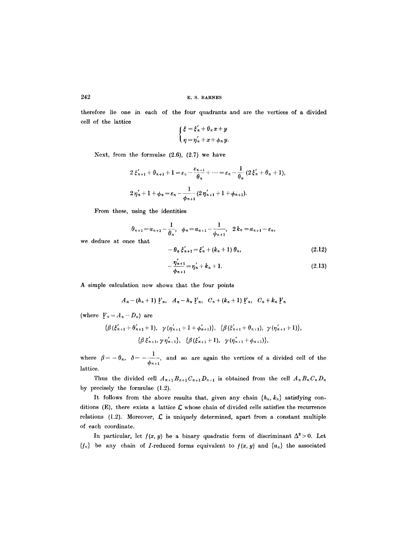therefore lie one in each of the four quadrants and are the vertices of a divided cell of the lattice

$$
\begin{cases} \xi = \xi'_n + \theta_n x + y \\ \eta = \eta'_n + x + \phi_n y. \end{cases}
$$

Next, from the formulae  $(2.6)$ ,  $(2.7)$  we have

$$
2\xi'_{n+1} + \theta_{n+1} + 1 = \varepsilon_n - \frac{\varepsilon_{n-1}}{\theta_n} + \dots = \varepsilon_n - \frac{1}{\theta_n} (2\xi'_n + \theta_n + 1),
$$
  

$$
2\eta'_n + 1 + \phi_n = \varepsilon_n - \frac{1}{\phi_{n+1}} (2\eta'_{n+1} + 1 + \phi_{n+1}).
$$

From these, using the identities

$$
\theta_{n+1} = a_{n+1} - \frac{1}{\theta_n}, \quad \phi_n = a_{n+1} - \frac{1}{\phi_{n+1}}, \quad 2 k_n = a_{n+1} - \varepsilon_n,
$$
  
we that  

$$
- \theta_n \xi'_{n+1} = \xi'_n + (k_n + 1) \theta_n,
$$
 (2.12)

we deduce at once that 
$$
-\theta_n \xi'_{n+1} = \xi'_n + (k_n + 1) \theta_n,
$$

$$
\eta'_{n+1} = \eta' + h + 1 \tag{9.12}
$$

$$
-\frac{\eta_{n+1}}{\phi_{n+1}} = \eta'_n + k_n + 1.
$$
 (2.13)

A simple calculation now shows that the four points

$$
A_n - (h_n + 1) V_n
$$
,  $A_n - h_n V_n$ ,  $C_n + (k_n + 1) V_n$ ,  $C_n + k_n V_n$ 

(where  $\int_{-\infty}^{\infty} I_n = A_n - D_n$ ) are

$$
\{\beta(\xi'_{n+1}+\theta'_{n+1}+1), \gamma(\eta'_{n+1}+1+\phi'_{n+1})\}, \{\beta(\xi'_{n+1}+\theta_{n+1}), \gamma(\eta'_{n+1}+1)\},\newline \{\beta\xi'_{n+1}, \gamma\eta'_{n+1}\}, \{\beta(\xi'_{n+1}+1), \gamma(\eta'_{n+1}+\phi_{n+1})\},\newline
$$

where  $\beta = -\theta_n$ ,  $\delta = -\frac{1}{\sqrt{2\pi}}$ , and so are again the vertices of a divided cell of the lattice.

Thus the divided cell  $A_{n+1}B_{n+1}C_{n+1}D_{n+1}$  is obtained from the cell  $A_nB_nC_nD_n$ by precisely the formulae (1.2).

It follows from the above results that, given any chain  $\{h_n, k_n\}$  satisfying conditions (E), there exists a lattice  $\mathcal L$  whose chain of divided cells satisfies the recurrence relations (1.2). Moreover,  $\mathcal{L}$  is uniquely determined, apart from a constant multiple of each coordinate.

In particular, let  $f(x, y)$  be a binary quadratic form of discriminant  $\Delta^2 > 0$ . Let  ${f_n}$  be any chain of *I*-reduced forms equivalent to  $f(x, y)$  and  ${a_n}$  the associated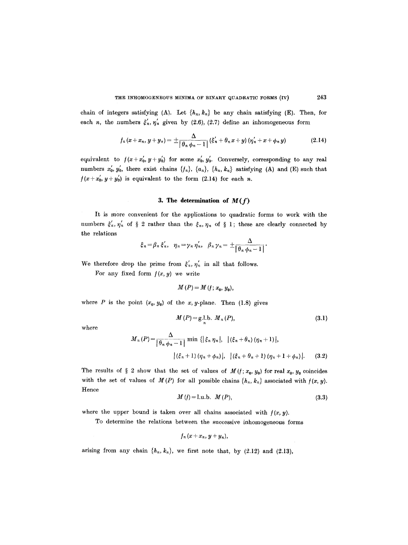chain of integers satisfying (A). Let  $\{h_n, k_n\}$  be any chain satisfying (E). Then, for each n, the numbers  $\xi'_n, \eta'_n$  given by (2.6), (2.7) define an inhomogeneous form

$$
f_n(x+x_n, y+y_n) = \pm \frac{\Delta}{\left|\theta_n \phi_n - 1\right|} (\xi'_n + \theta_n x + y) (\eta'_n + x + \phi_n y)
$$
 (2.14)

*i* equivalent to  $f(x + x'_0, y + y'_0)$  for some  $x'_0, y'_0$ . Conversely, corresponding to any real numbers  $x'_0$ ,  $y'_0$ , there exist chains  $\{f_n\}$ ,  $\{a_n\}$ ,  $\{h_n, k_n\}$  satisfying (A) and (E) such that  $f(x+x_0, y+y_0)$  is equivalent to the form (2.14) for each n.

## **3. The determination of** *M(f)*

It is more convenient for the applications to quadratic forms to work with the numbers  $\xi'_n, \eta'_n$  of § 2 rather than the  $\xi_n, \eta_n$  of § 1; these are clearly connected by the relations

$$
\xi_n = \beta_n \xi'_n, \quad \eta_n = \gamma_n \eta'_n, \quad \beta_n \gamma_n = \pm \frac{\Delta}{\left|\theta_n \phi_n - 1\right|}.
$$

We therefore drop the prime from  $\xi'_n, \eta'_n$  in all that follows.

For any fixed form  $f(x, y)$  we write

$$
M(P)=M(t; x_0, y_0),
$$

where P is the point  $(x_0, y_0)$  of the x, y-plane. Then (1.8) gives

$$
M(P) = g l.b. M_n(P), \t\t(3.1)
$$

where

$$
M_n(P) = \frac{\Delta}{\left|\theta_n \phi_n - 1\right|} \min \left\{ \left|\xi_n \eta_n\right|, \left|\left(\xi_n + \theta_n\right) (\eta_n + 1)\right|, \right. \\ \left|\left(\xi_n + 1\right) (\eta_n + \phi_n)\right|, \left|\left(\xi_n + \theta_n + 1\right) (\eta_n + 1 + \phi_n)\right|. \tag{3.2}
$$

The results of § 2 show that the set of values of  $M(t; x_0, y_0)$  for real  $x_0, y_0$  coincides with the set of values of  $M(P)$  for all possible chains  $\{h_n, k_n\}$  associated with  $f(x, y)$ . Hence

$$
M(t) = 1. \, u \, . \, b. \, M(P), \tag{3.3}
$$

where the upper bound is taken over all chains associated with  $f(x, y)$ .

To determine the relations between the successive inhomogeneous forms

$$
f_n(x+x_n, y+y_n),
$$

arising from any chain  $\{h_n, k_n\}$ , we first note that, by (2.12) and (2.13),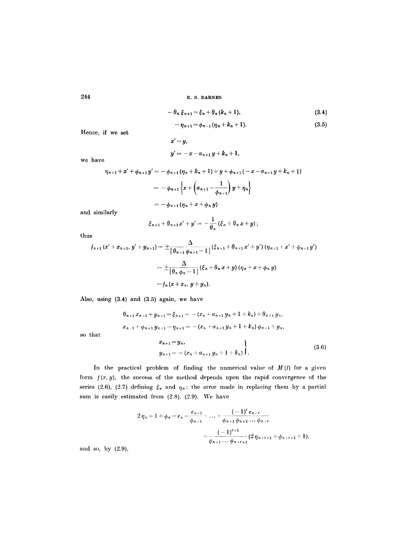$$
-\theta_n \xi_{n+1} = \xi_n + \theta_n (k_n + 1), \qquad (3.4)
$$

$$
-\eta_{n+1} = \phi_{n+1}(\eta_n + k_n + 1). \tag{3.5}
$$

Hence, if we set

$$
x' = y,
$$
  

$$
y' = -x - a_{n+1}y + k_n + 1,
$$

we have

$$
\eta_{n+1} + x' + \phi_{n+1} y' = -\phi_{n+1} (\eta_n + k_n + 1) + y + \phi_{n+1} (-x - a_{n+1} y + k_n + 1)
$$
  
=  $-\phi_{n+1} \left\{ x + \left( a_{n+1} - \frac{1}{\phi_{n+1}} \right) y + \eta_n \right\}$   
=  $-\phi_{n+1} (\eta_n + x + \phi_n y)$ 

and similarly

$$
\xi_{n+1}+\theta_{n+1}x'+y'=-\frac{1}{\theta_n}(\xi_n+\theta_n x+y);
$$

thus

$$
f_{n+1}(x' + x_{n+1}, y' + y_{n+1}) = \pm \frac{\Delta}{|\theta_{n+1}\phi_{n+1} - 1|} (\xi_{n+1} + \theta_{n+1}x' + y') (\eta_{n+1} + x' + \phi_{n+1}y')
$$
  
= 
$$
\pm \frac{\Delta}{|\theta_n \phi_n - 1|} (\xi_n + \theta_n x + y) (\eta_n + x + \phi_n y)
$$
  
= 
$$
f_n(x + x_n, y + y_n).
$$

Also, using (3.4) and (3.5) again, we have

$$
\theta_{n+1}x_{n+1} + y_{n+1} = \xi_{n+1} = -(x_n + a_{n+1}y_n + 1 + k_n) + \theta_{n+1}y_n,
$$
  
\n
$$
x_{n+1} + \phi_{n+1}y_{n+1} = \eta_{n+1} = -(x_n + a_{n+1}y_n + 1 + k_n)\phi_{n+1} + y_n,
$$
  
\n
$$
x_{n+1} = y_n,
$$
\n(2.6)

so that

$$
y_{n+1} = - (x_n + a_{n+1} y_n + 1 + k_n) \bigg).
$$
 (3.6)

In the practical problem of finding the numerical value of  $M(f)$  for a given form  $f(x, y)$ , the success of the method depends upon the rapid convergence of the series (2.6), (2.7) defining  $\xi_n$  and  $\eta_n$ ; the error made in replacing them by a partial sum is easily estimated from (2.8), (2.9). We have

$$
2 \eta_n + 1 + \phi_n = \varepsilon_n - \frac{\varepsilon_{n+1}}{\phi_{n+1}} + \ldots + \frac{(-1)^r \varepsilon_{n+r}}{\phi_{n+1} \phi_{n+2} \ldots \phi_{n+r}} + \frac{(-1)^{r+1}}{\phi_{n+1} \ldots \phi_{n+r+1}} (2 \eta_{n+r+1} + \phi_{n+r+1} + 1),
$$

and so, by (2.9),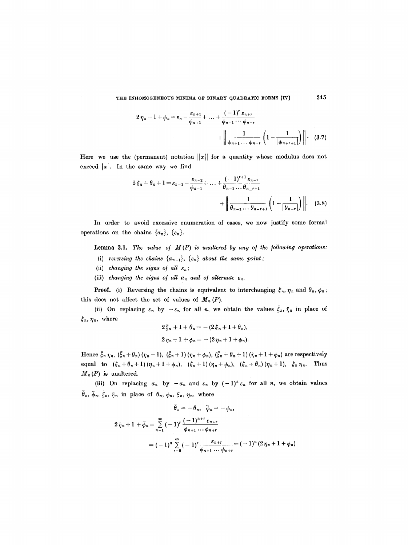$$
2 \eta_{n} + 1 + \phi_{n} = \varepsilon_{n} - \frac{\varepsilon_{n+1}}{\phi_{n+1}} + \ldots + \frac{(-1)^{r} \varepsilon_{n+r}}{\phi_{n+1} \cdots \phi_{n+r}} + \left\| \frac{1}{\phi_{n+1} \cdots \phi_{n+r}} \left( 1 - \frac{1}{|\phi_{n+r+1}|} \right) \right\| \cdot (3.7)
$$

Here we use the (permanent) notation  $\|x\|$  for a quantity whose modulus does not exceed  $|x|$ . In the same way we find

$$
2\xi_n + \theta_n + 1 = \varepsilon_{n-1} - \frac{\varepsilon_{n-2}}{\phi_{n-1}} + \dots + \frac{(-1)^{r+1} \varepsilon_{n-r}}{\theta_{n-1} \dots \theta_{n-r+1}} + \left\| \frac{1}{\theta_{n-1} \dots \theta_{n-r+1}} \left( 1 - \frac{1}{|\theta_{n-r}|} \right) \right\|. \quad (3.8)
$$

In order to avoid excessive enumeration of cases, we now justify some formal operations on the chains  $\{a_n\}$ ,  $\{\varepsilon_n\}$ .

Lemma 3.1. *The value of M(P) is unaltered by any of the following operations:* 

- (i) *reversing the chains*  $\{a_{n+1}\}, \{\varepsilon_n\}$  *about the same point;*
- (ii) *changing the signs of all*  $\varepsilon_n$ ;
- (iii) *changing the signs of all*  $a_n$  *and of alternate*  $\varepsilon_n$ .

**Proof.** (i) Reversing the chains is equivalent to interchanging  $\xi_n$ ,  $\eta_n$  and  $\theta_n$ ,  $\phi_n$ ; this does not affect the set of values of  $M_n(P)$ .

(ii) On replacing  $\varepsilon_n$  by  $-\varepsilon_n$  for all n, we obtain the values  $\xi_n$ ,  $\bar{\eta}_n$  in place of  $\xi_n, \eta_n,$  where

$$
2\bar{\xi}_n + 1 + \theta_n = -(2\bar{\xi}_n + 1 + \theta_n),
$$
  

$$
2\bar{\eta}_n + 1 + \phi_n = -(2\eta_n + 1 + \phi_n).
$$

Hence  $\bar{\xi}_n \bar{\eta}_n$ ,  $(\bar{\xi}_n + \theta_n) (\bar{\eta}_n + 1)$ ,  $(\bar{\xi}_n + 1) (\bar{\eta}_n + \phi_n)$ ,  $(\bar{\xi}_n + \theta_n + 1) (\bar{\eta}_n + 1 + \phi_n)$  are respectively equal to  $(\xi_n+\theta_n+1)(\eta_n+1+\phi_n)$ ,  $(\xi_n+1)(\eta_n+\phi_n)$ ,  $(\xi_n+\theta_n)(\eta_n+1)$ ,  $\xi_n\eta_n$ . Thus  $M_n(P)$  is unaltered.

(iii) On replacing  $a_n$  by  $-a_n$  and  $\varepsilon_n$  by  $(-1)^n \varepsilon_n$  for all n, we obtain values  $\theta_n$ ,  $\bar{\phi}_n$ ,  $\bar{\xi}_n$ ,  $\bar{\eta}_n$  in place of  $\theta_n$ ,  $\phi_n$ ,  $\bar{\xi}_n$ ,  $\eta_n$ , where

$$
\theta_n = -\theta_n, \quad \bar{\phi}_n = -\phi_n,
$$
  

$$
2 \bar{r}_{n+1} + \bar{\phi}_n = \sum_{n=1}^{\infty} (-1)^r \frac{(-1)^{n+r} \epsilon_{n+r}}{\bar{\phi}_{n+1} \cdots \bar{\phi}_{n+r}}
$$
  

$$
= (-1)^n \sum_{r=0}^{\infty} (-1)^r \frac{\epsilon_{n+r}}{\phi_{n+1} \cdots \phi_{n+r}} = (-1)^n (2 \eta_n + 1 + \phi_n)
$$

245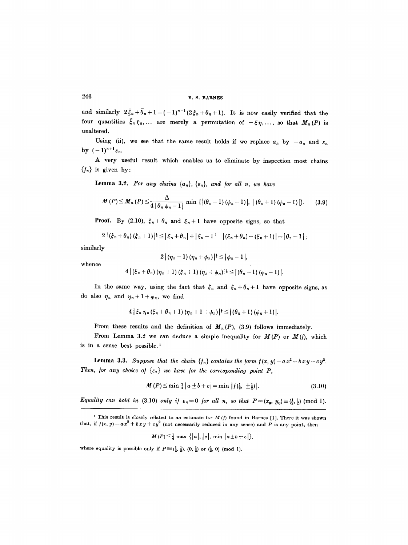and similarly  $2 \bar{\xi}_n + \bar{\theta}_n + 1 = (-1)^{n-1} (2 \xi_n + \theta_n + 1)$ . It is now easily verified that the four quantities  $\bar{\xi}_n \bar{\eta}_n$ ,... are merely a permutation of  $-\xi \eta$ ,..., so that  $M_n(P)$  is unaltered.

Using (ii), we see that the same result holds if we replace  $a_n$  by  $-a_n$  and  $\varepsilon_n$ by  $(-1)^{n+1}\varepsilon_n$ .

A very useful result which enables us to eliminate by inspection most chains  ${f_n}$  is given by:

**Lemma 3.2.** For any chains  $\{a_n\}$ ,  $\{\varepsilon_n\}$ , and for all n, we have

$$
M(P) \leq M_n(P) \leq \frac{\Delta}{4 |\theta_n \phi_n - 1|} \min \{ |(\theta_n - 1)(\phi_n - 1)|, |(\theta_n + 1)(\phi_n + 1)| \}.
$$
 (3.9)

**Proof.** By (2.10),  $\xi_n + \theta_n$  and  $\xi_n + 1$  have opposite signs, so that

$$
2 | (\xi_n + \theta_n) (\xi_n + 1) |^{\frac{1}{2}} \leq | \xi_n + \theta_n | + | \xi_n + 1 | = | (\xi_n + \theta_n) - (\xi_n + 1) | = | \theta_n - 1 | ;
$$

similarly

$$
2\left| \left( \eta_n + 1 \right) \left( \eta_n + \phi_n \right) \right|^{1 \over 2} \leq \left| \phi_n - 1 \right|,
$$

whence

$$
4 | (\xi_n + \theta_n) (\eta_n + 1) (\xi_n + 1) (\eta_n + \phi_n) |^{3} \leq | (\theta_n - 1) (\phi_n - 1) |.
$$

In the same way, using the fact that  $\xi_n$  and  $\xi_n + \theta_n + 1$  have opposite signs, as do also  $\eta_n$  and  $\eta_n + 1 + \phi_n$ , we find

$$
4|\xi_n \eta_n(\xi_n+\theta_n+1)(\eta_n+1+\phi_n)|^{\frac{1}{2}} \leq |(\theta_n+1)(\phi_n+1)|.
$$

From these results and the definition of  $M_n(P)$ , (3.9) follows immediately.

From Lemma 3.2 we can deduce a simple inequality for  $M(P)$  or  $M(f)$ , which is in a sense best possible. $<sup>1</sup>$ </sup>

**Lemma 3.3.** *Suppose that the chain*  $\{f_n\}$  contains the form  $f(x, y) = a x^2 + b x y + c y^2$ . *Then, for any choice of*  $\{\varepsilon_n\}$  *we have for the corresponding point P,* 

$$
M(P) \le \min_{\mathbf{4}} \frac{1}{4} |a \pm b + c| = \min |f(\frac{1}{2}, \pm \frac{1}{2})|.
$$
 (3.10)

*Equality can hold in* (3.10) *only if*  $\varepsilon_n=0$  *for all n, so that*  $P=(x_0, y_0) \equiv (\frac{1}{2}, \frac{1}{2}) \pmod{1}$ .

$$
M(P) \leq \frac{1}{4} \max \left\{ |a|, |c|, \min \left| a \pm b + c \right| \right\},\
$$

where equality is possible only if  $P \equiv (\frac{1}{2}, \frac{1}{2})$ ,  $(0, \frac{1}{2})$  or  $(\frac{1}{2}, 0)$  (mod 1).

<sup>&</sup>lt;sup>1</sup> This result is closely related to an estimate for  $M$  (*f*) found in Barnes [1]. There it was shown that, if  $f(x, y) = ax^2 + bxy + cy^2$  (not necessarily reduced in any sense) and P is any point, then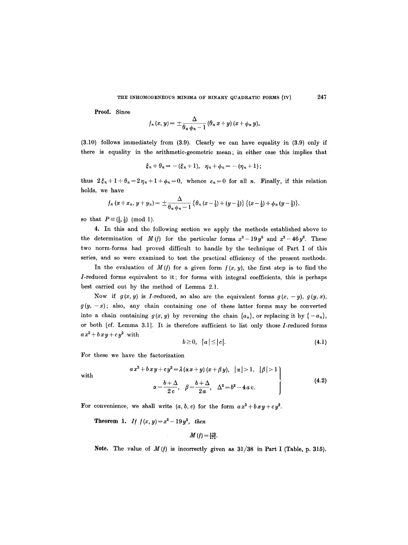**Proof.** Since

$$
f_n(x, y) = \pm \frac{\Delta}{\theta_n \phi_n - 1} (\theta_n x + y) (x + \phi_n y),
$$

(3.10) follows immediately from (3.9). Clearly we can have equality in (3.9) only if there is equality in the arithmetic-geometric mean; in either ease this implies that

$$
\xi_n + \theta_n = -(\xi_n + 1), \quad \eta_n + \phi_n = -(\eta_n + 1);
$$

thus  $2\xi_n + 1 + \theta_n = 2\eta_n + 1 + \phi_n = 0$ , whence  $\varepsilon_n = 0$  for all *n*. Finally, if this relation holds, we have

$$
f_n(x+x_n, y+y_n)=\pm \frac{\Delta}{\theta_n \phi_n-1} \left\{\theta_n(x-\tfrac{1}{2})+(y-\tfrac{1}{2})\right\} \left\{(x-\tfrac{1}{2})+\phi_n(y-\tfrac{1}{2})\right\},\,
$$

so that  $P \equiv (\frac{1}{2}, \frac{1}{2}) \pmod{1}$ .

4. In this and the following section we apply the methods established above to the determination of *M(f)* for the particular forms  $x^2 - 19y^2$  and  $x^2 - 46y^2$ . These two norm-forms had proved difficult to handle by the technique of Part I of this series, and so were examined to test the practical efficiency of the present methods.

In the evaluation of  $M(f)$  for a given form  $f(x, y)$ , the first step is to find the /-reduced forms equivalent to it; for forms with integral coefficients, this is perhaps best carried out by the method of Lemma 2.1.

Now if  $g(x, y)$  is *I*-reduced, so also are the equivalent forms  $g(x, -y)$ ,  $g(y, x)$ ,  $g(y,-x)$ ; also, any chain containing one of these latter forms may be converted into a chain containing  $g(x, y)$  by reversing the chain  $\{a_n\}$ , or replacing it by  $\{-a_n\}$ , or both  $[cf.$  Lemma 3.1]. It is therefore sufficient to list only those  $I$ -reduced forms  $ax^2 + bxy + cy^2$  with

$$
b \geq 0, \quad |a| \leq |c|. \tag{4.1}
$$

For these we have the factorization

$$
ax^{2} + bxy + cy^{2} = \lambda (\alpha x + y) (x + \beta y), \quad |\alpha| > 1, \quad |\beta| > 1
$$
  

$$
\alpha = \frac{b + \Delta}{2c}, \quad \beta = \frac{b + \Delta}{2a}, \quad \Delta^{2} = b^{2} - 4ac.
$$
 (4.2)

with

For convenience, we shall write  $(a, b, c)$  for the form  $ax^2 + bxy + cy^2$ .

**Theorem 1.** If  $f(x, y) = x^2 - 19y^2$ , *then* 

$$
M(f)=\frac{170}{171}.
$$

Note. The value of  $M(f)$  is incorrectly given as  $31/38$  in Part I (Table, p. 315).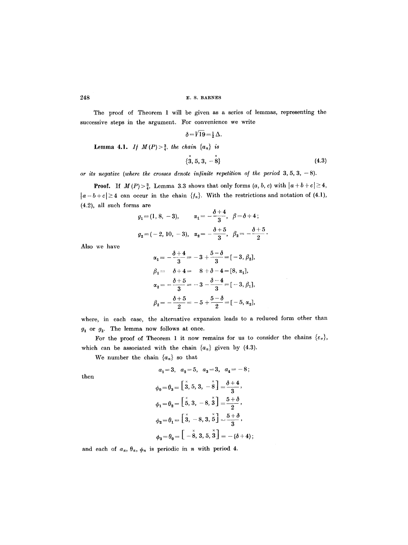The proof of Theorem 1 will be given as a series of lemmas, representing the successive steps in the argument. For convenience we write

$$
\delta = \sqrt{19} = \frac{1}{2} \Delta.
$$
  
Lemma 4.1. If  $M(P) > \frac{3}{4}$ , the chain  $\{a_n\}$  is  
 $\{\stackrel{x}{3}, 5, 3, -\stackrel{x}{8}\}$  (4.3)

*or its negative (where the crosses denote infinite repetition of the period*  $3, 5, 3, -8$ ).

**Proof.** If  $M(P) > \frac{3}{4}$ , Lemma 3.3 shows that only forms  $(a, b, c)$  with  $|a+b+c| \geq 4$ ,  $|a-b+c|\geq 4$  can occur in the chain  $\{f_n\}$ . With the restrictions and notation of (4.1), (4.2), all such forms are

$$
g_1 = (1, 8, -3),
$$
  $\alpha_1 = -\frac{\delta + 4}{3}, \ \beta = \delta + 4;$   
 $g_2 = (-2, 10, -3), \ \alpha_2 = -\frac{\delta + 5}{3}, \ \beta_2 = -\frac{\delta + 5}{2}.$ 

Also we have

$$
\alpha_1 = -\frac{\delta+4}{3} = -3 + \frac{5-\delta}{3} = [-3, \beta_2],
$$
  
\n
$$
\beta_1 = \delta+4 = 8 + \delta - 4 = [8, \alpha_1],
$$
  
\n
$$
\alpha_2 = -\frac{\delta+5}{3} = -3 - \frac{\delta-4}{3} = [-3, \beta_1],
$$
  
\n
$$
\beta_2 = -\frac{\delta+5}{2} = -5 + \frac{5-\delta}{2} = [-5, \alpha_2],
$$

where, in each case, the alternative expansion leads to a reduced form other than  $g_1$  or  $g_2$ . The lemma now follows at once.

For the proof of Theorem 1 it now remains for us to consider the chains  $\{\varepsilon_n\}$ , which can be associated with the chain  $\{a_n\}$  given by (4.3).

 $a_1 = 3, a_2 = 5, a_3 = 3, a_4 = -8;$ 

We number the chain  ${a_n}$  so that

then

$$
\phi_0 = \theta_3 = \left[\stackrel{x}{3}, 5, 3, -\stackrel{x}{8}\right] = \frac{\delta + 4}{3},
$$
  
\n
$$
\phi_1 = \theta_2 = \left[\stackrel{x}{5}, 3, -8, \stackrel{x}{3}\right] = \frac{5 + \delta}{2},
$$
  
\n
$$
\phi_2 = \theta_1 = \left[\stackrel{x}{3}, -8, 3, \stackrel{x}{6}\right] = \frac{5 + \delta}{3},
$$
  
\n
$$
\phi_3 = \theta_0 = \left[-\stackrel{x}{8}, 3, 5, \stackrel{x}{3}\right] = -(\delta + 4);
$$

and each of  $a_n$ ,  $\theta_n$ ,  $\phi_n$  is periodic in n with period 4.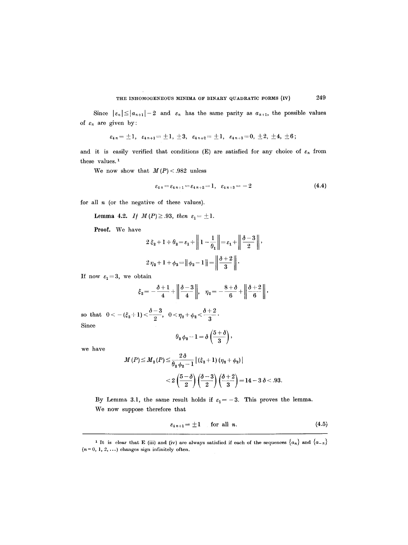Since  $|\varepsilon_n| \leq |a_{n+1}| - 2$  and  $\varepsilon_n$  has the same parity as  $a_{n+1}$ , the possible values of  $\varepsilon_n$  are given by:

$$
\varepsilon_{4n} = \pm 1, \quad \varepsilon_{4n+1} = \pm 1, \pm 3, \quad \varepsilon_{4n+2} = \pm 1, \quad \varepsilon_{4n+3} = 0, \pm 2, \pm 4, \pm 6;
$$

and it is easily verified that conditions (E) are satisfied for any choice of  $\varepsilon_n$  from these values.<sup>1</sup>

We now show that  $M(P) < .982$  unless

$$
\varepsilon_{4\,n} = \varepsilon_{4\,n+1} = \varepsilon_{4\,n+2} = 1, \quad \varepsilon_{4\,n+3} = -2 \tag{4.4}
$$

for all  $n$  (or the negative of these values).

**Lemma 4.2.** If 
$$
M(P) \geq .93
$$
, then  $\varepsilon_1 = \pm 1$ .

Proof. We have

$$
2\xi_2 + 1 + \theta_2 = \varepsilon_1 + \left\| 1 - \frac{1}{\theta_1} \right\| = \varepsilon_1 + \left\| \frac{\delta - 3}{2} \right\|,
$$
  

$$
2\eta_2 + 1 + \phi_2 = \left\| \phi_2 - 1 \right\| = \left\| \frac{\delta + 2}{3} \right\|.
$$

If now  $\varepsilon_1=3$ , we obtain

$$
\xi_2 = -\frac{\delta+1}{4} + \left\|\frac{\delta-3}{4}\right\|, \quad \eta_2 = -\frac{8+\delta}{6} + \left\|\frac{\delta+2}{6}\right\|,
$$

so that  $0<-(\xi_2+1)<\frac{\delta-3}{2}$ ,  $0<\eta_2+\phi_2<\frac{\delta+2}{2}$ Since

$$
\theta_2\,\phi_2-1=\delta\left(\frac{5+\delta}{3}\right),
$$

we have

$$
M(P) \le M_2(P) \le \frac{2\delta}{\theta_2 \phi_2 - 1} |(\xi_2 + 1)(\eta_2 + \phi_2)|
$$
  
< 
$$
< 2\left(\frac{5-\delta}{2}\right)\left(\frac{\delta - 3}{2}\right)\left(\frac{\delta + 2}{3}\right) = 14 - 3\delta < .93
$$

By Lemma 3.1, the same result holds if  $\varepsilon_1 = -3$ . This proves the lemma. We now suppose therefore that

$$
\varepsilon_{4\,n+1} = \pm 1 \qquad \text{for all } n. \tag{4.5}
$$

<sup>&</sup>lt;sup>1</sup> It is clear that E (iii) and (iv) are always satisfied if each of the sequences  $\{a_n\}$  and  $\{a_{-n}\}$  $(n=0,\,1,\,2,\,\ldots)$  changes sign infinitely often.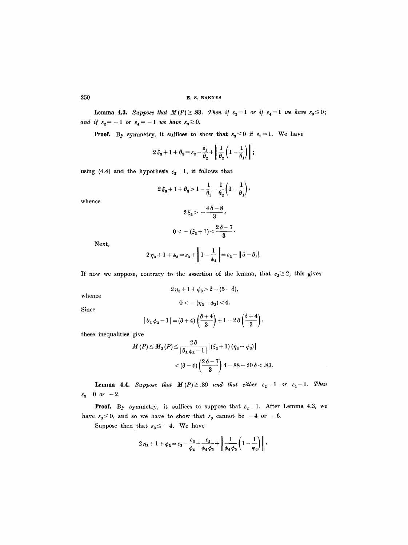**Lemma 4.3.** *Suppose that*  $M(P) \geq .83$ *. Then if*  $\varepsilon_2 = 1$  *or if*  $\varepsilon_4 = 1$  *we have*  $\varepsilon_3 \leq 0$ ; *and if*  $\varepsilon_2 = -1$  *or*  $\varepsilon_4 = -1$  *we have*  $\varepsilon_3 \ge 0$ .

**Proof.** By symmetry, it suffices to show that  $\varepsilon_3 \leq 0$  if  $\varepsilon_2 = 1$ . We have

$$
2\,\xi_3+1+\theta_3=\varepsilon_2-\frac{\varepsilon_1}{\theta_2}+\bigg\|\frac{1}{\theta_2}\bigg(1-\frac{1}{\theta_1}\bigg)\bigg\|;
$$

using (4.4) and the hypothesis  $\varepsilon_2=1$ , it follows that

$$
2\,\xi_3+1+\theta_3\!>\!1-\!\frac{1}{\theta_2}\!-\!\frac{1}{\theta_2}\!\left(1-\!\frac{1}{\theta_1}\!\right),
$$

whence

$$
2\xi_3 > -\frac{4\delta - 8}{3},
$$
\n
$$
0 < -(\xi_3 + 1) < \frac{2\delta - 7}{3}
$$

Next,

$$
2\,\eta_3+1+\phi_3=\varepsilon_3+\bigg\|\,1-\frac{1}{\phi_4}\bigg\|=\varepsilon_3+\|5-\delta\,\|.
$$

If now we suppose, contrary to the assertion of the lemma, that  $\varepsilon_3 \geq 2$ , this gives

$$
2\eta_3 + 1 + \phi_3 > 2 - (5 - \delta),
$$

whence

$$
0<-(\eta_3+\phi_3)<4.
$$

Since

$$
|\theta_3 \phi_3 - 1| = (\delta + 4)\left(\frac{\delta + 4}{3}\right) + 1 = 2\delta\left(\frac{\delta + 4}{3}\right),
$$

these inequalities give

$$
M(P) \le M_3(P) \le \frac{2\delta}{\left|\theta_3\phi_3 - 1\right|} \left|\left(\xi_3 + 1\right)\left(\eta_3 + \phi_3\right)\right|
$$
  
<  $(\delta - 4)\left(\frac{2\delta - 7}{3}\right)4 = 88 - 20\delta < .83.$ 

**Lemma 4.4.** Suppose that  $M(P) \geq .89$  and that either  $\varepsilon_2 = 1$  or  $\varepsilon_4 = 1$ . Then  $\varepsilon_3 = 0 \ \ or \ \ -2.$ 

**Proof.** By symmetry, it suffices to suppose that  $\varepsilon_2 = 1$ . After Lemma 4.3, we have  $\varepsilon_3 \leq 0$ , and so we have to show that  $\varepsilon_3$  cannot be -4 or -6.

Suppose then that  $\varepsilon_3 \leq -4$ . We have

$$
2\eta_3 + 1 + \phi_3 = \varepsilon_3 - \frac{\varepsilon_3}{\phi_4} + \frac{\varepsilon_5}{\phi_4 \phi_5} + \left\| \frac{1}{\phi_4 \phi_5} \left( 1 - \frac{1}{\phi_6} \right) \right\|,
$$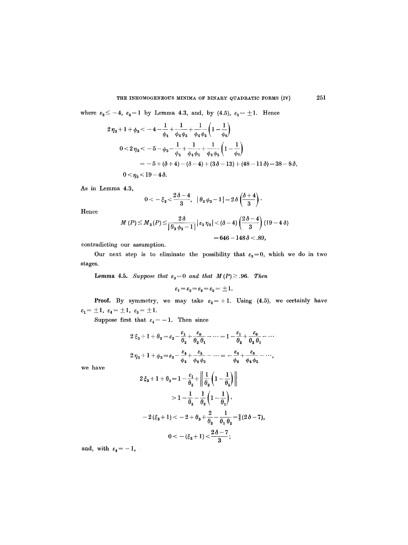#### THE INHOMOGENEOUS MINIMA OF BINARY QUADRATIC FORMS (IV) 251

where  $\varepsilon_3 \leq -4$ ,  $\varepsilon_4=1$  by Lemma 4.3, and, by (4.5),  $\varepsilon_5=\pm 1$ . Hence

$$
2\eta_3 + 1 + \phi_3 < -4 - \frac{1}{\phi_4} + \frac{1}{\phi_4 \phi_5} + \frac{1}{\phi_4 \phi_5} \left(1 - \frac{1}{\phi_6}\right)
$$
  

$$
0 < 2\eta_3 < -5 - \phi_3 - \frac{1}{\phi_4} + \frac{1}{\phi_4 \phi_5} + \frac{1}{\phi_4 \phi_5} \left(1 - \frac{1}{\phi_6}\right)
$$
  

$$
= -5 + (\delta + 4) - (\delta - 4) + (3\delta - 13) + (48 - 11\delta) = 38 - 8\delta,
$$
  

$$
0 < \eta_3 < 19 - 4\delta.
$$

As in Lemma 4.3,

$$
0< -\xi_3 < \frac{2\,\delta - 4}{3},\quad \big|\,\theta_3\,\phi_3 - 1\,\big| = 2\,\delta\,\bigg(\frac{\delta + 4}{3}\bigg)\,\cdot
$$

Hence

$$
M(P) \leq M_3(P) \leq \frac{2\delta}{\left|\theta_3\phi_3 - 1\right|} \left|\varepsilon_3\eta_3\right| < (\delta - 4)\left(\frac{2\delta - 4}{3}\right)(19 - 4\delta) \\ = 646 - 148\delta < .89,
$$

contradicting our assumption.

Our next step is to eliminate the possibility that  $\varepsilon_3=0$ , which we do in two stages.

**Lemma 4.5.** Suppose that  $\varepsilon_3 = 0$  and that  $M(P) \geq .96$ . Then

$$
\varepsilon_1 = \varepsilon_2 = \varepsilon_4 = \varepsilon_5 = \pm 1.
$$

**Proof.** By symmetry, we may take  $\varepsilon_2 = +1$ . Using (4.5), we certainly have  $\varepsilon_1 = \pm 1, \ \varepsilon_4 = \pm 1, \ \varepsilon_5 = \pm 1.$ 

Suppose first that  $\varepsilon_4 = -1$ . Then since

$$
2\xi_3 + 1 + \theta_3 = \varepsilon_2 - \frac{\varepsilon_1}{\theta_2} + \frac{\varepsilon_0}{\theta_2 \theta_1} - \dots = 1 - \frac{\varepsilon_1}{\theta_2} + \frac{\varepsilon_0}{\theta_2 \theta_1} - \dots
$$
  

$$
2\eta_3 + 1 + \phi_3 = \varepsilon_3 - \frac{\varepsilon_4}{\phi_4} + \frac{\varepsilon_5}{\phi_4 \phi_5} - \dots = -\frac{\varepsilon_4}{\phi_4} + \frac{\varepsilon_5}{\phi_4 \phi_5} - \dots
$$
  

$$
2\xi_3 + 1 + \theta_3 = 1 - \frac{\varepsilon_1}{\theta_2} + \left\| \frac{1}{\theta_2} \left( 1 - \frac{1}{\theta_1} \right) \right\|
$$

we have

$$
2\xi_3 + 1 + \theta_3 = 1 - \frac{\varepsilon_1}{\theta_2} + \left\| \frac{1}{\theta_2} \left( 1 - \frac{1}{\theta_1} \right) \right\|
$$
  

$$
> 1 - \frac{1}{\theta_2} - \frac{1}{\theta_2} \left( 1 - \frac{1}{\theta_1} \right),
$$
  

$$
-2(\xi_3 + 1) < -2 + \theta_3 + \frac{2}{\theta_2} - \frac{1}{\theta_1 \theta_2} = \frac{2}{3}(2\delta - 7),
$$
  

$$
0 < -(\xi_3 + 1) < \frac{2\delta - 7}{3};
$$

and, with  $\varepsilon_4=-1$ ,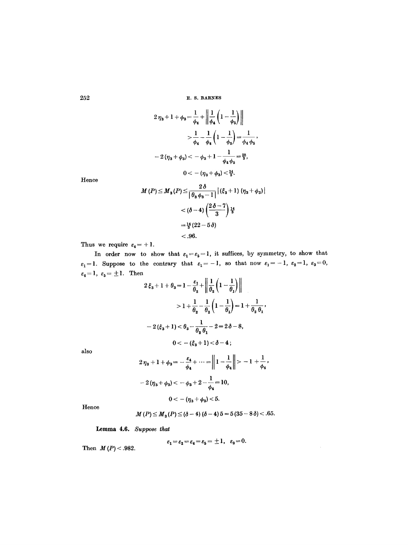$$
2 \eta_3 + 1 + \phi_3 = \frac{1}{\phi_4} + \left\| \frac{1}{\phi_4} \left( 1 - \frac{1}{\phi_5} \right) \right\|
$$
  

$$
> \frac{1}{\phi_4} - \frac{1}{\phi_4} \left( 1 - \frac{1}{\phi_5} \right) = \frac{1}{\phi_4 \phi_5},
$$
  

$$
- 2 (\eta_3 + \phi_3) < -\phi_3 + 1 - \frac{1}{\phi_4 \phi_5} = \frac{28}{3},
$$
  

$$
0 < -(\eta_3 + \phi_3) < \frac{14}{3}.
$$

Hence

$$
M(P) \leq M_3(P) \leq \frac{2\delta}{\left|\theta_3\phi_3 - 1\right|} |(\xi_3 + 1)(\eta_3 + \phi_3)|
$$
  
< 
$$
< (\delta - 4) \left(\frac{2\delta - 7}{3}\right) \frac{14}{3}
$$
  

$$
= \frac{14}{3} (22 - 5\delta)
$$
  
< 0.96.

Thus we require  $\varepsilon_4= +1$ .

In order now to show that  $\varepsilon_1=\varepsilon_5=1$ , it suffices, by symmetry, to show that  $\varepsilon_1=1$ . Suppose to the contrary that  $\varepsilon_1=-1$ , so that now  $\varepsilon_1=-1$ ,  $\varepsilon_2=1$ ,  $\varepsilon_3=0$ ,  $\varepsilon_4\!=\!1,~\varepsilon_5\!=\!\pm 1.~$  Then  $t_1$   $t_2$   $t_3$ 

$$
2\xi_3 + 1 + \theta_3 = 1 - \frac{\varepsilon_1}{\theta_2} + \left\| \frac{1}{\theta_2} \left( 1 - \frac{1}{\theta_1} \right) \right\|
$$
  
> 1 +  $\frac{1}{\theta_2} - \frac{1}{\theta_2} \left( 1 - \frac{1}{\theta_1} \right) = 1 + \frac{1}{\theta_2 \theta_1}$ ,  
 $- 2(\xi_3 + 1) < \theta_3 - \frac{1}{\theta_2 \theta_1} - 2 = 2\delta - 8$ ,  
 $0 < -(\xi_3 + 1) < \delta - 4$ ;

also

$$
2\eta_3 + 1 + \phi_3 = -\frac{\varepsilon_4}{\phi_4} + \dots = \left\| 1 - \frac{1}{\phi_4} \right\| > -1 + \frac{1}{\phi_4},
$$
  

$$
-2(\eta_3 + \phi_3) < -\phi_3 + 2 - \frac{1}{\phi_4} = 10,
$$
  

$$
0 < -(\eta_3 + \phi_3) < 5.
$$

Hence

$$
M(P) \leq M_3(P) \leq (\delta - 4) (\delta - 4) 5 = 5 (35 - 8 \delta) < .65.
$$

Lemma 4.6. *Suppose that* 

 $\epsilon_1\!=\!\epsilon_2\!=\!\epsilon_4\!=\!\epsilon_5\!=\pm1, ~~\epsilon_3\!=\!0.$ 

Then  $M(P) < .982$ .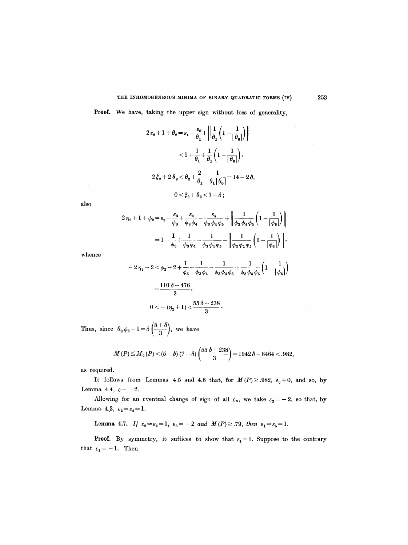Proof. We have, taking the upper sign without loss of generality,

$$
2\varepsilon_2 + 1 + \theta_2 = \varepsilon_1 - \frac{\varepsilon_0}{\theta_1} + \left\| \frac{1}{\theta_1} \left( 1 - \frac{1}{|\theta_0|} \right) \right\|
$$
  

$$
< 1 + \frac{1}{\theta_1} + \frac{1}{\theta_1} \left( 1 - \frac{1}{|\theta_0|} \right),
$$
  

$$
2\xi_2 + 2\theta_2 < \theta_2 + \frac{2}{\theta_1} - \frac{1}{\theta_1|\theta_0|} = 14 - 2\delta,
$$
  

$$
0 < \xi_2 + \theta_2 < 7 - \delta;
$$

also

$$
2 \eta_2 + 1 + \phi_2 = \varepsilon_2 - \frac{\varepsilon_3}{\phi_3} + \frac{\varepsilon_4}{\phi_3 \phi_4} - \frac{\varepsilon_5}{\phi_3 \phi_4 \phi_5} + \left\| \frac{1}{\phi_3 \phi_4 \phi_5} \left( 1 - \frac{1}{|\phi_6|} \right) \right\|
$$
  
=  $1 - \frac{1}{\phi_3} + \frac{1}{\phi_3 \phi_4} - \frac{1}{\phi_3 \phi_4 \phi_5} + \left\| \frac{1}{\phi_3 \phi_4 \phi_5} \left( 1 - \frac{1}{|\phi_6|} \right) \right\|,$ 

whence

$$
-2\eta_2 - 2 <\phi_2 - 2 + \frac{1}{\phi_3} - \frac{1}{\phi_3\phi_4} + \frac{1}{\phi_3\phi_4\phi_5} + \frac{1}{\phi_3\phi_4\phi_5} \left(1 - \frac{1}{|\phi_6|}\right)
$$
  
= 
$$
\frac{110 \delta - 476}{3},
$$
  

$$
0 < -(\eta_2 + 1) < \frac{55 \delta - 238}{3}.
$$

Thus, since  $\theta_2\phi_2-1=\delta\left(\frac{5+\delta}{3}\right)$ , we have

$$
M(P) \le M_{2}(P) < (5 - \delta) (7 - \delta) \left( \frac{55 \delta - 238}{3} \right) = 1942 \delta - 8464 < .982,
$$

as required.

It follows from Lemmas 4.5 and 4.6 that, for  $M(P) \ge 0.982$ ,  $\varepsilon_3 \ne 0$ , and so, by Lemma 4.4,  $\varepsilon = \pm 2$ .

Allowing for an eventual change of sign of all  $\varepsilon_n$ , we take  $\varepsilon_3 = -2$ , so that, by Lemma 4.3,  $\varepsilon_2 = \varepsilon_4 = 1$ .

Lemma 4.7. If  $\varepsilon_2 = \varepsilon_4 = 1$ ,  $\varepsilon_3 = -2$  and  $M(P) \geq .79$ , then  $\varepsilon_1 = \varepsilon_5 = 1$ .

**Proof.** By symmetry, it suffices to show that  $\varepsilon_1=1$ . Suppose to the contrary that  $\varepsilon_1=-1$ . Then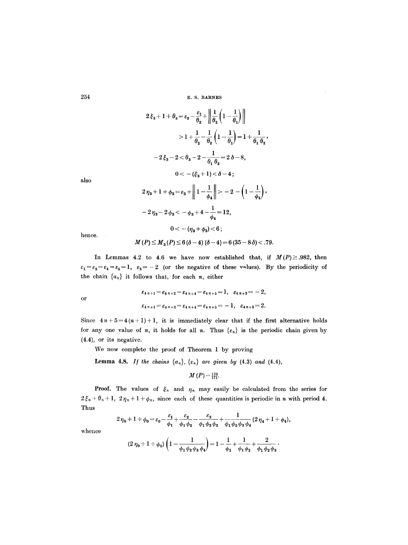$\mathbf{r}$ 

$$
2\xi_3 + 1 + \theta_3 = \varepsilon_2 - \frac{\varepsilon_1}{\theta_2} + \left\| \frac{1}{\theta_2} \left( 1 - \frac{1}{\theta_1} \right) \right\|
$$
  
\n
$$
> 1 + \frac{1}{\theta_2} - \frac{1}{\theta_2} \left( 1 - \frac{1}{\theta_1} \right) = 1 + \frac{1}{\theta_1 \theta_2},
$$
  
\n
$$
-2\xi_3 - 2 < \theta_3 - 2 - \frac{1}{\theta_1 \theta_2} = 2\delta - 8,
$$
  
\n
$$
0 < -(\xi_3 + 1) < \delta - 4;
$$
  
\n
$$
2\eta_3 + 1 + \phi_3 = \varepsilon_3 + \left\| 1 - \frac{1}{\phi_4} \right\| > -2 - \left( 1 - \frac{1}{\phi_4} \right),
$$

also

$$
-2\eta_3 - 2\phi_3 < -\phi_3 + 4 - \frac{1}{\phi_4} = 12,
$$
  

$$
0 < -(\eta_3 + \phi_3) < 6;
$$

hence,

$$
M(P) \leq M_{3}(P) \leq 6(\delta - 4)(\delta - 4) = 6(35 - 8\delta) < .79.
$$

In Lemmas 4.2 to 4.6 we have now established that, if  $M(P) \ge 0.982$ , then  $\varepsilon_1 = \varepsilon_2 = \varepsilon_4 = \varepsilon_5 = 1$ ,  $\varepsilon_3 = -2$  (or the negative of these values). By the periodicity of the chain  $\{a_n\}$  it follows that, for each n, either

or  
\n
$$
\varepsilon_{4\,n+1} = \varepsilon_{4\,n+2} = \varepsilon_{4\,n+4} = \varepsilon_{4\,n+5} = 1, \quad \varepsilon_{4\,n+3} = -2,
$$
\n
$$
\varepsilon_{4\,n+1} = \varepsilon_{4\,n+2} = \varepsilon_{4\,n+4} = \varepsilon_{4\,n+5} = -1, \quad \varepsilon_{4\,n+3} = 2.
$$

Since  $4n+5=4(n+1)+1$ , it is immediately clear that if the first alternative holds for any one value of n, it holds for all n. Thus  $\{\varepsilon_n\}$  is the periodic chain given by (4.4), or its negative.

We now complete the proof of Theorem 1 by proving

**Lemma 4.8.** *If the chains*  $\{a_n\}$ ,  $\{\varepsilon_n\}$  *are given by* (4.3) *and* (4.4),

$$
M(P)=\frac{170}{171}
$$

**Proof.** The values of  $\xi_n$  and  $\eta_n$  may easily be calculated from the series for  $2\xi_n + \theta_n + 1$ ,  $2\eta_n + 1 + \phi_n$ , since each of these quantities is periodic in n with period 4. Thus

$$
2\eta_0+1+\phi_0=\varepsilon_0-\frac{\varepsilon_1}{\phi_1}+\frac{\varepsilon_2}{\phi_1\phi_2}-\frac{\varepsilon_3}{\phi_1\phi_2\phi_3}+\frac{1}{\phi_1\phi_2\phi_3\phi_4}(2\eta_4+1+\phi_4),
$$

whence

$$
(2 \eta_0 + 1 + \phi_0) \left( 1 - \frac{1}{\phi_1 \phi_2 \phi_3 \phi_4} \right) = 1 - \frac{1}{\phi_1} + \frac{1}{\phi_1 \phi_2} + \frac{2}{\phi_1 \phi_2 \phi_3}.
$$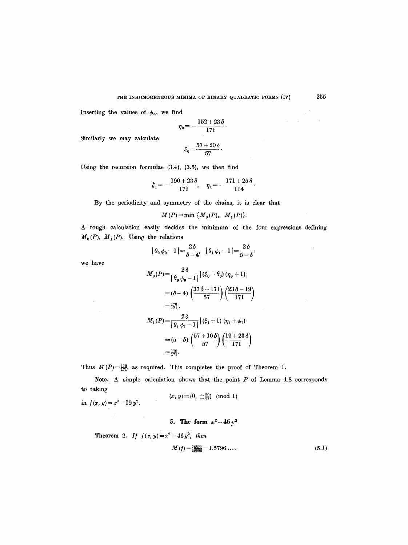Inserting the values of  $\phi_n$ , we find

$$
\eta_0 = -\frac{152 + 23\,\delta}{171}.
$$

Similarly we may calculate

$$
\xi_0 = \frac{57 + 20\,\delta}{57}.
$$

Using the reeursion formulae (3.4), (3.5), we then find

$$
\xi_1 = -\frac{190 + 23\delta}{171}, \quad \eta_1 = -\frac{171 + 25\delta}{114}.
$$

By the periodicity and symmetry of the chains, it is clear that

$$
M(P) = \min \{M_0(P), M_1(P)\}.
$$

A rough calculation easily decides the minimum of the four expressions defining  $M_0(P)$ ,  $M_1(P)$ . Using the relations

$$
|\theta_0 \phi_0 - 1| = \frac{2\delta}{\delta - 4}, \quad |\theta_1 \phi_1 - 1| = \frac{2\delta}{5 - \delta},
$$

we have

in  $f(x, y) = x^2 - 19 y^2$ .

$$
M_0(P) = \frac{2\delta}{\left|\theta_0 \phi_0 - 1\right|} \left| (\xi_0 + \theta_0) (\eta_0 + 1) \right|
$$
  
=  $(\delta - 4) \left( \frac{37\delta + 171}{57} \right) \left( \frac{23\delta - 19}{171} \right)$   
=  $\frac{170}{171}$ ;  

$$
M_1(P) = \frac{2\delta}{\left|\theta_1 \phi_1 - 1\right|} \left| (\xi_1 + 1) (\eta_1 + \phi_1) \right|
$$
  
=  $(5 - \delta) \left( \frac{57 + 16\delta}{57} \right) \left( \frac{19 + 23\delta}{171} \right)$   
=  $\frac{170}{171}$ .

Thus  $M(P) = \frac{170}{171}$ , as required. This completes the proof of Theorem 1.

Note. A simple calculation shows that the point P of Lemma 4.8 corresponds to taking

$$
(x, y) \equiv (0, \pm \frac{20}{57}) \pmod{1}
$$

**5.** The form  $x^2 - 46y^2$ 

**Theorem 2.** If 
$$
f(x, y) = x^2 - 46y^2
$$
, then  
\n
$$
M(f) = \frac{76877}{48668} = 1.5796...
$$
\n(5.1)

 $\sim$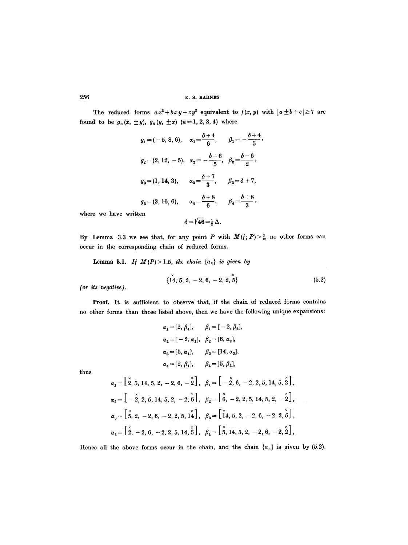The reduced forms  $ax^2+bxy+cy^2$  equivalent to  $f(x, y)$  with  $|a \pm b+c| \ge 7$  are found to be  $g_n(x, \pm y)$ ,  $g_n(y, \pm x)$   $(n=1, 2, 3, 4)$  where

$$
g_1 = (-5, 8, 6), \quad \alpha_1 = \frac{\delta + 4}{6}, \qquad \beta_1 = -\frac{\delta + 4}{5},
$$
  

$$
g_2 = (2, 12, -5), \quad \alpha_2 = -\frac{\delta + 6}{5}, \quad \beta_2 = \frac{\delta + 6}{2},
$$
  

$$
g_3 = (1, 14, 3), \qquad \alpha_3 = \frac{\delta + 7}{3}, \qquad \beta_3 = \delta + 7,
$$
  

$$
g_3 = (3, 16, 6), \qquad \alpha_4 = \frac{\delta + 8}{6}, \qquad \beta_4 = \frac{\delta + 8}{3},
$$

where we have written

$$
\delta = \sqrt{46} = \frac{1}{2} \Delta.
$$

By Lemma 3.3 we see that, for any point P with  $M(f; P) > \frac{3}{2}$ , no other forms can occur in the corresponding chain of reduced forms.

**Lemma 5.1.** *If*  $M(P) > 1.5$ , *the chain*  $\{a_n\}$  *is given by* 

$$
\{14, 5, 2, -2, 6, -2, 2, 5\} \tag{5.2}
$$

*(or its negative).* 

Proof. It is sufficient to observe that, if the chain of reduced forms contains no other forms than those listed above, then we have the following unique expansions:

$$
\alpha_1 = [2, \beta_4], \qquad \beta_1 = [-2, \beta_2],
$$
  
\n
$$
\alpha_2 = [-2, \alpha_1], \quad \beta_2 = [6, \alpha_2],
$$
  
\n
$$
\alpha_3 = [5, \alpha_4], \qquad \beta_3 = [14, \alpha_3],
$$
  
\n
$$
\alpha_4 = [2, \beta_1], \qquad \beta_4 = ]5, \beta_3],
$$

thus

$$
\alpha_1 = \begin{bmatrix} \check{x}, 5, 14, 5, 2, -2, 6, -\check{2} \end{bmatrix}, \quad \beta_1 = \begin{bmatrix} \check{x}, 6, -2, 2, 5, 14, 5, \check{2} \end{bmatrix},
$$
  
\n
$$
\alpha_2 = \begin{bmatrix} \check{x}, 2, 5, 14, 5, 2, -2, \check{6} \end{bmatrix}, \quad \beta_2 = \begin{bmatrix} \check{x}, 6, -2, 2, 5, 14, 5, 2, -\check{2} \end{bmatrix},
$$
  
\n
$$
\alpha_3 = \begin{bmatrix} \check{x}, 2, -2, 6, -2, 2, 5, 14 \end{bmatrix}, \quad \beta_3 = \begin{bmatrix} \check{x}, 5, 2, -2, 6, -2, 2, \check{5} \end{bmatrix},
$$
  
\n
$$
\alpha_4 = \begin{bmatrix} \check{x}, -2, 6, -2, 2, 5, 14, \check{5} \end{bmatrix}, \quad \beta_4 = \begin{bmatrix} \check{x}, 14, 5, 2, -2, 6, -2, \check{2} \end{bmatrix},
$$

Hence all the above forms occur in the chain, and the chain  $\{a_n\}$  is given by (5.2).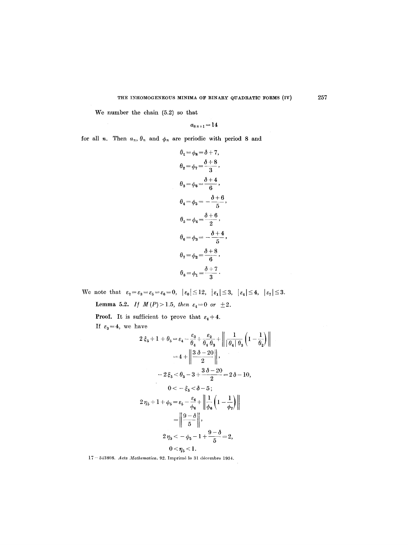We number the chain (5.2) so that

$$
a_{8\,n+1}\!=\!14
$$

for all *n*. Then  $a_n$ ,  $\theta_n$  and  $\phi_n$  are periodic with period 8 and

$$
\theta_1 = \phi_8 = \delta + 7,
$$
  
\n
$$
\theta_2 = \phi_7 = \frac{\delta + 8}{3},
$$
  
\n
$$
\theta_3 = \phi_6 = \frac{\delta + 4}{6},
$$
  
\n
$$
\theta_4 = \phi_5 = -\frac{\delta + 6}{5},
$$
  
\n
$$
\theta_5 = \phi_4 = \frac{\delta + 6}{2},
$$
  
\n
$$
\theta_6 = \phi_3 = -\frac{\delta + 4}{5},
$$
  
\n
$$
\theta_7 = \phi_2 = \frac{\delta + 8}{6},
$$
  
\n
$$
\theta_8 = \phi_1 = \frac{\delta + 7}{3}.
$$

We note that  $\varepsilon_2 = \varepsilon_3 = \varepsilon_5 = \varepsilon_6 = 0, \ |\varepsilon_0| \le 12, \ |\varepsilon_1| \le 3, \ |\varepsilon_4| \le 4, \ |\varepsilon_7| \le 3.$ 

Lemma 5.2. *If*  $M(P) > 1.5$ , then  $\varepsilon_4 = 0$  or  $\pm 2$ .

**Proof.** It is sufficient to prove that  $\varepsilon_4 + 4$ . If  $\varepsilon_3=4$ , we have

have  
\n
$$
2\xi_{5} + 1 + \theta_{5} = \varepsilon_{4} - \frac{\varepsilon_{3}}{\theta_{4}} + \frac{\varepsilon_{2}}{\theta_{4} + \theta_{3}} + \left\| \frac{1}{|\theta_{4}| \theta_{3}} \left( 1 - \frac{1}{\theta_{2}} \right) \right\|
$$
\n
$$
= 4 + \left\| \frac{3 \delta - 20}{2} \right\|,
$$
\n
$$
- 2\xi_{5} < \theta_{5} - 3 + \frac{3 \delta - 20}{2} = 2\delta - 10,
$$
\n
$$
0 < -\xi_{5} < \delta - 5;
$$
\n
$$
2\eta_{5} + 1 + \phi_{5} = \varepsilon_{5} - \frac{\varepsilon_{6}}{\phi_{6}} + \left\| \frac{1}{\phi_{6}} \left( 1 - \frac{1}{\phi_{7}} \right) \right\|
$$
\n
$$
= \left\| \frac{9 - \delta}{5} \right\|,
$$
\n
$$
2\eta_{5} < -\phi_{5} - 1 + \frac{9 - \delta}{5} = 2,
$$
\n
$$
0 < \eta_{5} < 1.
$$

17 - 543808. *Acta Mathematica.* 92. Imprim6 le 3l d6cembre 1954.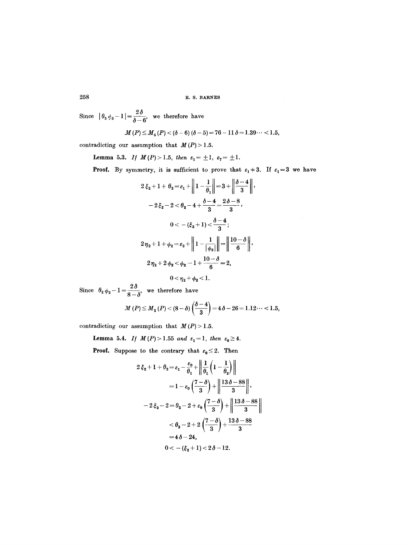Since  $| \theta_5 \phi_5 - 1 | = \frac{2 \delta}{\delta - 6}$ , we therefore have

$$
M(P) \leq M_5(P) < (\delta - 6) (\delta - 5) = 76 - 11 \delta = 1.39 \cdots < 1.5,
$$

contradicting our assumption that  $M(P) > 1.5$ .

**Lemma 5.3.** *If*  $M(P) > 1.5$ , *then*  $\varepsilon_1 = \pm 1$ ,  $\varepsilon_2 = \pm 1$ .

**Proof.** By symmetry, it is sufficient to prove that  $\varepsilon_1 = 3$ . If  $\varepsilon_1 = 3$  we have

$$
2\xi_2 + 1 + \theta_2 = \varepsilon_1 + \left\| 1 - \frac{1}{\theta_1} \right\| = 3 + \left\|\frac{\delta - 4}{3}\right\|,
$$
  

$$
-2\xi_2 - 2 < \theta_2 - 4 + \frac{\delta - 4}{3} = \frac{2\delta - 8}{3},
$$
  

$$
0 < -(\xi_2 + 1) < \frac{\delta - 4}{3};
$$
  

$$
2\eta_2 + 1 + \phi_2 = \varepsilon_3 + \left\| 1 - \frac{1}{|\phi_3|} \right\| = \left\| \frac{10 - \delta}{6} \right\|,
$$
  

$$
2\eta_2 + 2\phi_2 < \phi_2 - 1 + \frac{10 - \delta}{6} = 2,
$$
  

$$
0 < \eta_2 + \phi_2 < 1.
$$

Since  $\theta_2 \phi_2 - 1 = \frac{2\delta}{\delta}$ , we therefore have

$$
M(P) \leq M_2(P) < (8-\delta)\left(\frac{\delta-4}{3}\right) = 4\delta - 26 = 1.12\cdots < 1.5,
$$

contradicting our assumption that  $M(P) > 1.5$ .

**Lemma 5.4.** *If*  $M(P) > 1.55$  *and*  $\varepsilon_1 = 1$ , *then*  $\varepsilon_0 \ge 4$ .

**Proof.** Suppose to the contrary that  $\varepsilon_0 \leq 2$ . Then

$$
2\xi_2 + 1 + \theta_2 = \varepsilon_1 - \frac{\varepsilon_0}{\theta_1} + \left\| \frac{1}{\theta_1} \left( 1 - \frac{1}{\theta_2} \right) \right\|
$$
  
=  $1 - \varepsilon_0 \left( \frac{7 - \delta}{3} \right) + \left\| \frac{13 \delta - 88}{3} \right\|,$   
 $- 2\xi_2 - 2 = \theta_2 - 2 + \varepsilon_0 \left( \frac{7 - \delta}{3} \right) + \left\| \frac{13 \delta - 88}{3} \right\|$   
 $< \theta_2 - 2 + 2 \left( \frac{7 - \delta}{3} \right) + \frac{13 \delta - 88}{3}$   
=  $4\delta - 24,$   
 $0 < -(\xi_2 + 1) < 2\delta - 12.$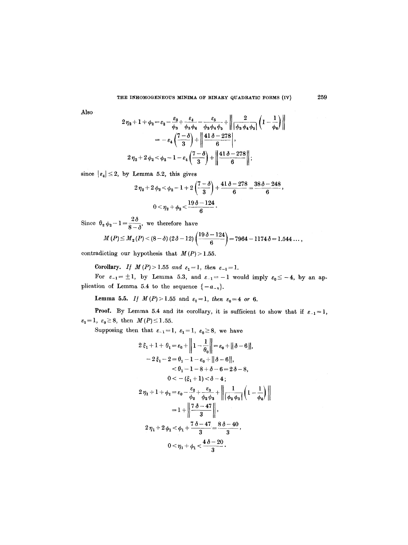#### THE INHOMOGENEOUS MINIMA OF BINARY QUADRATIC FORMS (IV) 259

Also

$$
2\eta_2 + 1 + \phi_2 = \varepsilon_2 - \frac{\varepsilon_3}{\phi_3} + \frac{\varepsilon_4}{\phi_3\phi_4} - \frac{\varepsilon_5}{\phi_3\phi_4\phi_5} + \left\| \frac{2}{|\phi_3\phi_4\phi_5|} \left( 1 - \frac{1}{\phi_6} \right) \right\|
$$
  
=  $-\varepsilon_4 \left( \frac{7 - \delta}{3} \right) + \left\| \frac{41\delta - 278}{6} \right\|,$   
 $2\eta_2 + 2\phi_2 < \phi_2 - 1 - \varepsilon_4 \left( \frac{7 - \delta}{3} \right) + \left\| \frac{41\delta - 278}{6} \right\|;$ 

since  $|\varepsilon_4| \leq 2$ , by Lemma 5.2, this gives

$$
2\eta_2 + 2\phi_2 < \phi_2 - 1 + 2\left(\frac{7-\delta}{3}\right) + \frac{41\delta - 278}{6} = \frac{38\delta - 248}{6},
$$
  

$$
0 < \eta_2 + \phi_2 < \frac{19\delta - 124}{6}.
$$

Since  $\theta_2 \phi_2 - 1 = \frac{2\delta}{\delta}$ , we therefore have

$$
M(P) \leq M_{2}(P) < (8-\delta) (2\delta - 12) \left( \frac{19\delta - 124}{6} \right) = 7964 - 1174 \delta = 1.544 \ldots,
$$

contradicting our hypothesis that  $M(P) > 1.55$ .

Corollary. If  $M(P) > 1.55$  and  $\varepsilon_1 = 1$ , then  $\varepsilon_{-1} = 1$ .

For  $\varepsilon_{-1} = \pm 1$ , by Lemma 5.3, and  $\varepsilon_{-1} = -1$  would imply  $\varepsilon_0 \leq -4$ , by an application of Lemma 5.4 to the sequence  $\{-a_{-n}\}.$ 

Lemma 5.5. *If*  $M(P) > 1.55$  and  $\varepsilon_1 = 1$ , *then*  $\varepsilon_0 = 4$  or 6.

**Proof.** By Lemma 5.4 and its corollary, it is sufficient to show that if  $\varepsilon_{-1}=1$ ,  $\varepsilon_1=1, \varepsilon_0\geq 8, \text{ then } M(P)\leq 1.55.$ 

Supposing then that  $\varepsilon_{-1}=1$ ,  $\varepsilon_1=1$ ,  $\varepsilon_0\geq 8$ , we have

$$
2\xi_1 + 1 + \theta_1 = \varepsilon_0 + \left\| 1 - \frac{1}{\theta_0} \right\| = \varepsilon_0 + \|\delta - 6\|,
$$
  
\n
$$
-2\xi_1 - 2 = \theta_1 - 1 - \varepsilon_0 + \|\delta - 6\|,
$$
  
\n
$$
< \theta_1 - 1 - 8 + \delta - 6 = 2\delta - 8,
$$
  
\n
$$
0 < -(\xi_1 + 1) < \delta - 4;
$$
  
\n
$$
2\eta_1 + 1 + \phi_1 = \varepsilon_0 - \frac{\varepsilon_2}{\phi_2} + \frac{\varepsilon_3}{\phi_2 \phi_3} + \left\| \frac{1}{|\phi_2 \phi_3|} \left( 1 - \frac{1}{\phi_4} \right) \right\|
$$
  
\n
$$
= 1 + \left\| \frac{7\delta - 47}{3} \right\|,
$$
  
\n
$$
2\eta_1 + 2\phi_1 < \phi_1 + \frac{7\delta - 47}{3} = \frac{8\delta - 40}{3},
$$
  
\n
$$
0 < \eta_1 + \phi_1 < \frac{4\delta - 20}{3}.
$$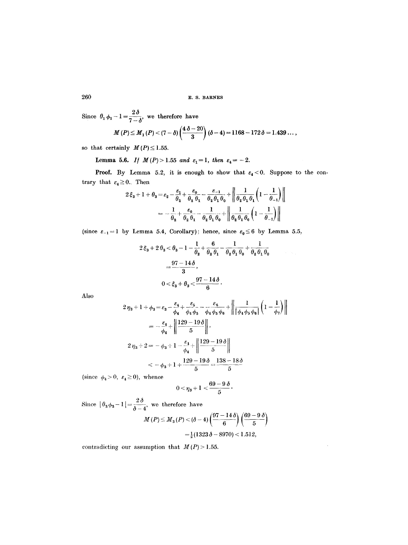Since  $\theta_1 \phi_1 - 1 = \frac{2\delta}{7}$ , we therefore have

$$
M(P) \leq M_1(P) < (7 - \delta) \left( \frac{4\,\delta - 20}{3} \right) (\delta - 4) = 1168 - 172\,\delta = 1.439\ldots,
$$

so that certainly  $M(P) \leq 1.55$ .

Lemma 5.6. *If*  $M(P) > 1.55$  *and*  $\varepsilon_1 = 1$ , *then*  $\varepsilon_4 = -2$ .

**Proof.** By Lemma 5.2, it is enough to show that  $\varepsilon_4 < 0$ . Suppose to the contrary that  $\varepsilon_4 \geq 0$ . Then

$$
2\xi_3 + 1 + \theta_3 = \varepsilon_2 - \frac{\varepsilon_1}{\theta_2} + \frac{\varepsilon_0}{\theta_2 \theta_1} - \frac{\varepsilon_{-1}}{\theta_2 \theta_1 \theta_0} + \left\| \frac{1}{\theta_2 \theta_1 \theta_1} \left( 1 - \frac{1}{\theta_{-1}} \right) \right\|
$$
  
= 
$$
-\frac{1}{\theta_2} + \frac{\varepsilon_0}{\theta_2 \theta_1} - \frac{1}{\theta_2 \theta_1 \theta_0} + \left\| \frac{1}{\theta_2 \theta_1 \theta_0} \left( 1 - \frac{1}{\theta_{-1}} \right) \right\|
$$

(since  $\varepsilon_{-1}=1$  by Lemma 5.4, Corollary); hence, since  $\varepsilon_0 \leq 6$  by Lemma 5.5,

$$
2\xi_3 + 2\theta_3 < \theta_3 - 1 - \frac{1}{\theta_2} + \frac{6}{\theta_2\theta_1} - \frac{1}{\theta_2\theta_1\theta_0} + \frac{1}{\theta_2\theta_1\theta_0} \\
= \frac{97 - 14\delta}{3}, \\
0 < \xi_3 + \theta_3 < \frac{97 - 14\delta}{6}.
$$

Also

$$
2 \eta_3 + 1 + \phi_3 = \varepsilon_3 - \frac{\varepsilon_4}{\phi_4} + \frac{\varepsilon_5}{\phi_4 \phi_5} - \frac{\varepsilon_6}{\phi_4 \phi_5 \phi_6} + \left\| \frac{1}{|\phi_4 \phi_5 \phi_6|} \left( 1 - \frac{1}{\phi_7} \right) \right\|
$$
  
=  $-\frac{\varepsilon_4}{\phi_4} + \left\| \frac{129 - 19 \delta}{5} \right\|$ ,  
 $2 \eta_3 + 2 = -\phi_3 + 1 - \frac{\varepsilon_4}{\phi_4} + \left\| \frac{129 - 19 \delta}{5} \right\|$   
 $< -\phi_3 + 1 + \frac{129 - 19 \delta}{5} = \frac{138 - 18 \delta}{5}$ 

(since  $\phi_4 > 0$ ,  $\varepsilon_4 \ge 0$ ), whence

$$
0\!<\!\eta_3\!+1<\!\frac{69-9\,\delta}{5}\cdot
$$

Since  $| \theta_3 \phi_3 - 1 | = \frac{2 \delta}{\delta - 4}$ , we therefore have<br> $M(P) \le M_3(P) < (\delta - 4) \left(\frac{97 - 14 \delta}{6}\right) \left(\frac{69 - 9 \delta}{5}\right)$  $=\frac{1}{2}(1323\delta - 8970) < 1.512,$ 

contradicting our assumption that  $M(P) > 1.55$ .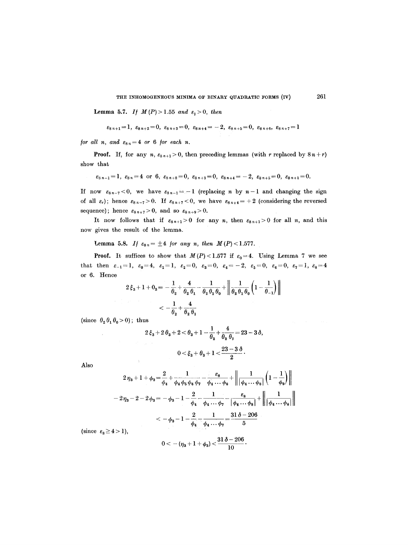**Lemma 5.7.** *If*  $M(P) > 1.55$  *and*  $\varepsilon_1 > 0$ , *then* 

$$
\varepsilon_{8\,n+1}=1,\ \varepsilon_{8\,n+2}=0,\ \varepsilon_{8\,n+3}=0,\ \varepsilon_{8\,n+4}=-2,\ \varepsilon_{8\,n+5}=0,\ \varepsilon_{8\,n+6},\ \varepsilon_{8\,n+7}=1
$$

*for all n, and*  $\varepsilon_{8n}=4$  *or 6 for each n.* 

**Proof.** If, for any n,  $\varepsilon_{8n+1} > 0$ , then preceding lemmas (with r replaced by  $8n+r$ ) show that

$$
\varepsilon_{8\,n-1}=1, \varepsilon_{8\,n}=4 \text{ or } 6, \varepsilon_{8\,n+2}=0, \varepsilon_{8\,n+3}=0, \varepsilon_{8\,n+4}=-2, \varepsilon_{8\,n+5}=0, \varepsilon_{8\,n+1}=0.
$$

If now  $\varepsilon_{8n-7}$  < 0, we have  $\varepsilon_{8n-1}=-1$  (replacing n by  $n-1$  and changing the sign of all  $\varepsilon_r$ ); hence  $\varepsilon_{8n-7} > 0$ . If  $\varepsilon_{8n+7} < 0$ , we have  $\varepsilon_{8n+4} = +2$  (considering the reversed sequence); hence  $\varepsilon_{8n+7}>0$ , and so  $\varepsilon_{8n+9}>0$ .

It now follows that if  $\varepsilon_{8n+1}>0$  for any n, then  $\varepsilon_{8n+1}>0$  for all n, and this now gives the result of the lemma.

Lemma 5.8. If  $\varepsilon_{8n} = \pm 4$  *for any n, then*  $M(P) < 1.577$ .

**Proof.** It suffices to show that  $M(P) < 1.577$  if  $\varepsilon_0 = 4$ . Using Lemma 7 we see that then  $\varepsilon_{-1}=1$ ,  $\varepsilon_0=4$ ,  $\varepsilon_1=1$ ,  $\varepsilon_2=0$ ,  $\varepsilon_3=0$ ,  $\varepsilon_4=-2$ ,  $\varepsilon_5=0$ ,  $\varepsilon_6=0$ ,  $\varepsilon_7=1$ ,  $\varepsilon_8=4$ or 6. Hence

$$
2\xi_3 + 1 + 0_3 = -\frac{1}{\theta_2} + \frac{4}{\theta_2 \theta_1} - \frac{1}{\theta_2 \theta_1 \theta_0} + \left\| \frac{1}{\theta_2 \theta_1 \theta_0} \left( 1 - \frac{1}{\theta_2 \theta_1} \right) \right\|
$$
  

$$
< -\frac{1}{\theta_2} + \frac{4}{\theta_2 \theta_1}
$$

(since  $\theta_2 \theta_1 \theta_0 > 0$ ); thus

 $\sim$ 

$$
\begin{gathered}2\,\xi_3 + 2\,\theta_3 + 2 < \theta_3 + 1 - \frac{1}{\theta_2} + \frac{4}{\theta_2\,\theta_1} = 23 - 3\,\delta,\\ 0 < \xi_3 + \theta_3 + 1 < \frac{23 - 3\,\delta}{2}.\end{gathered}
$$

Also

$$
2\eta_3 + 1 + \phi_3 = \frac{2}{\phi_4} + \frac{1}{\phi_4 \phi_5 \phi_6 \phi_7} - \frac{\varepsilon_8}{\phi_4 \cdots \phi_8} + \left\| \frac{1}{|\phi_4 \cdots \phi_8|} \left( 1 - \frac{1}{\phi_9} \right) \right\|
$$
  

$$
- 2\eta_3 - 2 - 2\phi_3 = -\phi_3 - 1 - \frac{2}{\phi_4} - \frac{1}{\phi_4 \cdots \phi_7} - \frac{\varepsilon_8}{|\phi_4 \cdots \phi_8|} + \left\| \frac{1}{|\phi_4 \cdots \phi_8|} \right\|
$$
  

$$
< -\phi_3 - 1 - \frac{2}{\phi_4} - \frac{1}{\phi_4 \cdots \phi_7} = \frac{31\delta - 206}{5}
$$
  

$$
4 > 1),
$$

(since  $\varepsilon_8 \geq 4$ 

$$
0<-(\eta_3+1+\phi_3)<\frac{31\,\delta-206}{10}
$$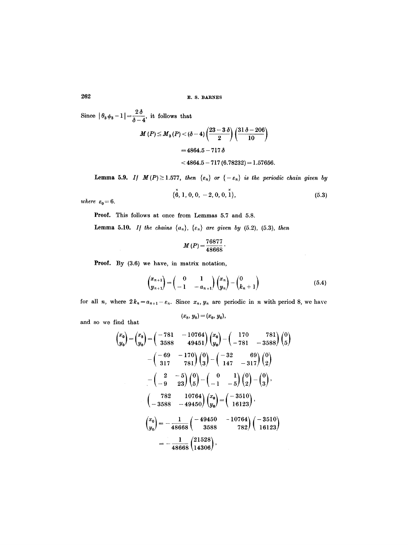Since  $|\theta_3 \phi_3 - 1| = \frac{2\delta}{\delta - 4}$ , it follows that

$$
M(P) \le M_3(P) < (\delta - 4) \left(\frac{23 - 3\,\delta}{2}\right) \left(\frac{31\,\delta - 206}{10}\right) \\
= 4864.5 - 717\,\delta \\
\le 4864.5 - 717\,(6.78232) = 1.57656.
$$

**Lemma 5.9.** *If*  $M(P) \ge 1.577$ , *then*  $\{\varepsilon_n\}$  *or*  $\{-\varepsilon_n\}$  *is the periodic chain given by* 

$$
\{\stackrel{x}{6}, 1, 0, 0, -2, 0, 0, \stackrel{x}{1}\}, \tag{5.3}
$$

 $where \; \; \varepsilon_0\!=\!6.$ 

Proof. This follows at once from Lemmas 5.7 and 5.8.

**Lemma 5.10.** *If the chains*  $\{a_n\}$ ,  $\{\varepsilon_n\}$  are given by (5.2), (5.3), *then* 

$$
M(P) = \frac{76877}{48668}.
$$

Proof. By (3.6) we have, in matrix notation,

$$
\begin{pmatrix} x_{n+1} \\ y_{n+1} \end{pmatrix} = \begin{pmatrix} 0 & 1 \\ -1 & -a_{n+1} \end{pmatrix} \begin{pmatrix} x_n \\ y_n \end{pmatrix} - \begin{pmatrix} 0 \\ k_n + 1 \end{pmatrix}
$$
 (5.4)

for all *n*, where  $2 k_n = a_{n+1} - \varepsilon_n$ . Since  $x_n, y_n$  are periodic in *n* with period 8, we have

$$
(x_8, y_8) = (x_0, y_0),
$$

and so we find that

$$
\begin{pmatrix} x_0 \\ y_0 \end{pmatrix} = \begin{pmatrix} x_8 \\ y_8 \end{pmatrix} = \begin{pmatrix} -781 & -10764 \\ 3588 & 49451 \end{pmatrix} \begin{pmatrix} x_0 \\ y_0 \end{pmatrix} - \begin{pmatrix} 170 & 781 \\ -781 & -3588 \end{pmatrix} \begin{pmatrix} 0 \\ 5 \end{pmatrix}
$$

$$
- \begin{pmatrix} -69 & -170 \\ 317 & 781 \end{pmatrix} \begin{pmatrix} 0 \\ 3 \end{pmatrix} - \begin{pmatrix} -32 & 69 \\ 147 & -317 \end{pmatrix} \begin{pmatrix} 0 \\ 2 \end{pmatrix}
$$

$$
- \begin{pmatrix} 2 & -5 \\ -9 & 23 \end{pmatrix} \begin{pmatrix} 0 \\ 5 \end{pmatrix} - \begin{pmatrix} 0 & 1 \\ -1 & -5 \end{pmatrix} \begin{pmatrix} 0 \\ 2 \end{pmatrix} - \begin{pmatrix} 0 \\ 3 \end{pmatrix},
$$

$$
\begin{pmatrix} 782 & 10764 \\ -3588 & -49450 \end{pmatrix} \begin{pmatrix} x_0 \\ y_0 \end{pmatrix} = \begin{pmatrix} -3510 \\ 16123 \end{pmatrix},
$$

$$
\begin{pmatrix} x_0 \\ y_0 \end{pmatrix} = -\frac{1}{48668} \begin{pmatrix} -49450 & -10764 \\ 3588 & 782 \end{pmatrix} \begin{pmatrix} -3510 \\ 16123 \end{pmatrix}
$$

$$
= -\frac{1}{48668} \begin{pmatrix} 21528 \\ 14306 \end{pmatrix},
$$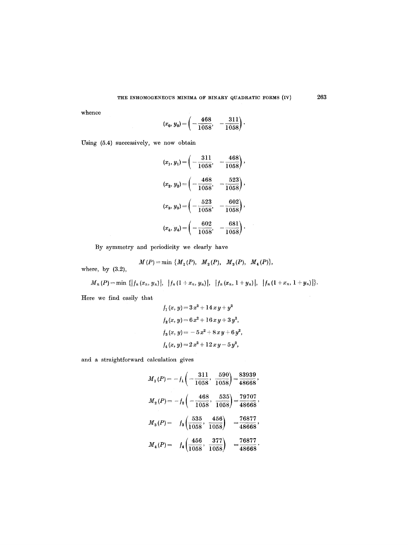whence

$$
(x_0, y_0) = \left(-\frac{468}{1058}, -\frac{311}{1058}\right).
$$

Using (5.4) successively, we now obtain

$$
(x_1, y_1) = \left(-\frac{311}{1058}, -\frac{468}{1058}\right),
$$
  

$$
(x_2, y_2) = \left(-\frac{468}{1058}, -\frac{523}{1058}\right),
$$
  

$$
(x_3, y_3) = \left(-\frac{523}{1058}, -\frac{602}{1058}\right),
$$
  

$$
(x_4, y_4) = \left(-\frac{602}{1058}, -\frac{681}{1058}\right).
$$

By symmetry and periodicity we clearly have

$$
M(P)=\min\ \{M_1(P),\ \ M_2(P),\ \ M_3(P),\ \ M_4(P)\},
$$

where, by (3.2),

 $M_{n}(P)=\min\ \{|f_{n}(x_{n},y_{n})|,~~|f_{n}(1+x_{n},y_{n})|,~~|f_{n}(x_{n},1+y_{n})|,~~|f_{n}(1+x_{n},1+y_{n})|\}.$ 

Here we find easily that

$$
f_1(x, y) = 3x^2 + 14xy + y^2
$$
  
\n
$$
f_2(x, y) = 6x^2 + 16xy + 3y^2,
$$
  
\n
$$
f_3(x, y) = -5x^2 + 8xy + 6y^2,
$$
  
\n
$$
f_4(x, y) = 2x^2 + 12xy - 5y^2,
$$

 $\sim$ 

and a straightforward calculation gives

$$
M_1(P) = -f_1\left(-\frac{311}{1058}, \frac{590}{1058}\right) = \frac{83939}{48668},
$$
  
\n
$$
M_2(P) = -f_2\left(-\frac{468}{1058}, \frac{535}{1058}\right) = \frac{79707}{48668},
$$
  
\n
$$
M_3(P) = f_3\left(\frac{535}{1058}, \frac{456}{1058}\right) = \frac{76877}{48668},
$$
  
\n
$$
M_4(P) = f_4\left(\frac{456}{1058}, \frac{377}{1058}\right) = \frac{76877}{48668}.
$$